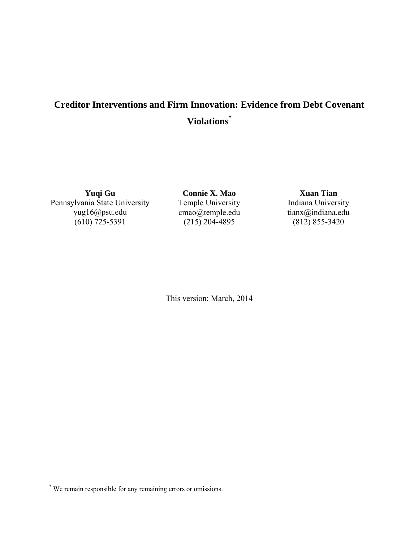# **Creditor Interventions and Firm Innovation: Evidence from Debt Covenant Violations\***

**Yuqi Gu**  Pennsylvania State University yug16@psu.edu  $(610) 725 - 5391$ 

**Connie X. Mao** Temple University cmao@temple.edu  $(215)$  204-4895

**Xuan Tian**  Indiana University tianx@indiana.edu  $(812) 855 - 3420$ 

This version: March, 2014

 \* We remain responsible for any remaining errors or omissions.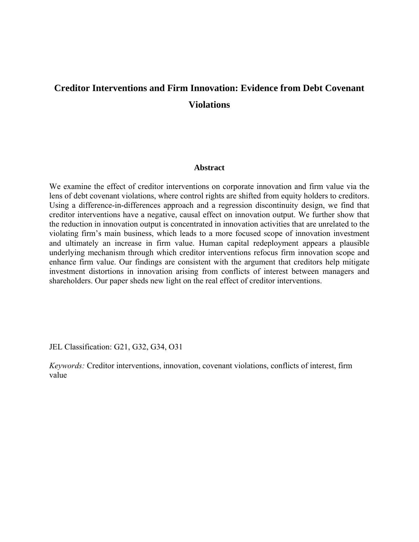# **Creditor Interventions and Firm Innovation: Evidence from Debt Covenant Violations**

#### **Abstract**

We examine the effect of creditor interventions on corporate innovation and firm value via the lens of debt covenant violations, where control rights are shifted from equity holders to creditors. Using a difference-in-differences approach and a regression discontinuity design, we find that creditor interventions have a negative, causal effect on innovation output. We further show that the reduction in innovation output is concentrated in innovation activities that are unrelated to the violating firm's main business, which leads to a more focused scope of innovation investment and ultimately an increase in firm value. Human capital redeployment appears a plausible underlying mechanism through which creditor interventions refocus firm innovation scope and enhance firm value. Our findings are consistent with the argument that creditors help mitigate investment distortions in innovation arising from conflicts of interest between managers and shareholders. Our paper sheds new light on the real effect of creditor interventions.

JEL Classification: G21, G32, G34, O31

*Keywords:* Creditor interventions, innovation, covenant violations, conflicts of interest, firm value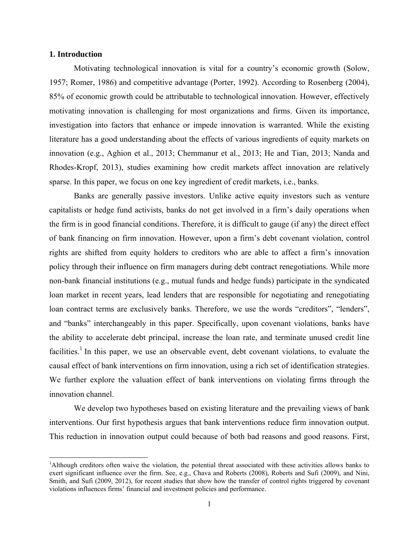#### **1. Introduction**

Motivating technological innovation is vital for a country's economic growth (Solow, 1957; Romer, 1986) and competitive advantage (Porter, 1992). According to Rosenberg (2004), 85% of economic growth could be attributable to technological innovation. However, effectively motivating innovation is challenging for most organizations and firms. Given its importance, investigation into factors that enhance or impede innovation is warranted. While the existing literature has a good understanding about the effects of various ingredients of equity markets on innovation (e.g., Aghion et al., 2013; Chemmanur et al., 2013; He and Tian, 2013; Nanda and Rhodes-Kropf, 2013), studies examining how credit markets affect innovation are relatively sparse. In this paper, we focus on one key ingredient of credit markets, i.e., banks.

Banks are generally passive investors. Unlike active equity investors such as venture capitalists or hedge fund activists, banks do not get involved in a firm's daily operations when the firm is in good financial conditions. Therefore, it is difficult to gauge (if any) the direct effect of bank financing on firm innovation. However, upon a firm's debt covenant violation, control rights are shifted from equity holders to creditors who are able to affect a firm's innovation policy through their influence on firm managers during debt contract renegotiations. While more non-bank financial institutions (e.g., mutual funds and hedge funds) participate in the syndicated loan market in recent years, lead lenders that are responsible for negotiating and renegotiating loan contract terms are exclusively banks. Therefore, we use the words "creditors", "lenders", and "banks" interchangeably in this paper. Specifically, upon covenant violations, banks have the ability to accelerate debt principal, increase the loan rate, and terminate unused credit line facilities.<sup>1</sup> In this paper, we use an observable event, debt covenant violations, to evaluate the causal effect of bank interventions on firm innovation, using a rich set of identification strategies. We further explore the valuation effect of bank interventions on violating firms through the innovation channel.

We develop two hypotheses based on existing literature and the prevailing views of bank interventions. Our first hypothesis argues that bank interventions reduce firm innovation output. This reduction in innovation output could because of both bad reasons and good reasons. First,

<sup>&</sup>lt;sup>1</sup>Although creditors often waive the violation, the potential threat associated with these activities allows banks to exert significant influence over the firm. See, e.g., Chava and Roberts (2008), Roberts and Sufi (2009), and Nini, Smith, and Sufi (2009, 2012), for recent studies that show how the transfer of control rights triggered by covenant violations influences firms' financial and investment policies and performance.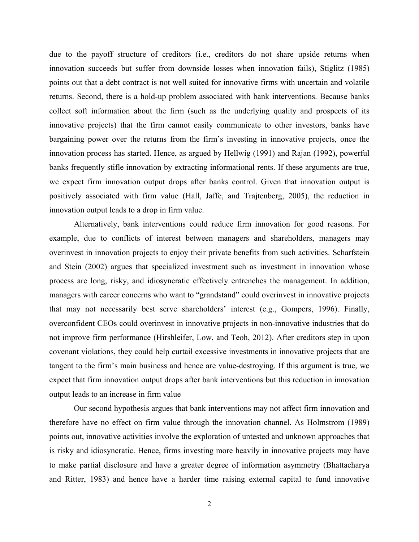due to the payoff structure of creditors (i.e., creditors do not share upside returns when innovation succeeds but suffer from downside losses when innovation fails), Stiglitz (1985) points out that a debt contract is not well suited for innovative firms with uncertain and volatile returns. Second, there is a hold-up problem associated with bank interventions. Because banks collect soft information about the firm (such as the underlying quality and prospects of its innovative projects) that the firm cannot easily communicate to other investors, banks have bargaining power over the returns from the firm's investing in innovative projects, once the innovation process has started. Hence, as argued by Hellwig (1991) and Rajan (1992), powerful banks frequently stifle innovation by extracting informational rents. If these arguments are true, we expect firm innovation output drops after banks control. Given that innovation output is positively associated with firm value (Hall, Jaffe, and Trajtenberg, 2005), the reduction in innovation output leads to a drop in firm value.

Alternatively, bank interventions could reduce firm innovation for good reasons. For example, due to conflicts of interest between managers and shareholders, managers may overinvest in innovation projects to enjoy their private benefits from such activities. Scharfstein and Stein (2002) argues that specialized investment such as investment in innovation whose process are long, risky, and idiosyncratic effectively entrenches the management. In addition, managers with career concerns who want to "grandstand" could overinvest in innovative projects that may not necessarily best serve shareholders' interest (e.g., Gompers, 1996). Finally, overconfident CEOs could overinvest in innovative projects in non-innovative industries that do not improve firm performance (Hirshleifer, Low, and Teoh, 2012). After creditors step in upon covenant violations, they could help curtail excessive investments in innovative projects that are tangent to the firm's main business and hence are value-destroying. If this argument is true, we expect that firm innovation output drops after bank interventions but this reduction in innovation output leads to an increase in firm value

Our second hypothesis argues that bank interventions may not affect firm innovation and therefore have no effect on firm value through the innovation channel. As Holmstrom (1989) points out, innovative activities involve the exploration of untested and unknown approaches that is risky and idiosyncratic. Hence, firms investing more heavily in innovative projects may have to make partial disclosure and have a greater degree of information asymmetry (Bhattacharya and Ritter, 1983) and hence have a harder time raising external capital to fund innovative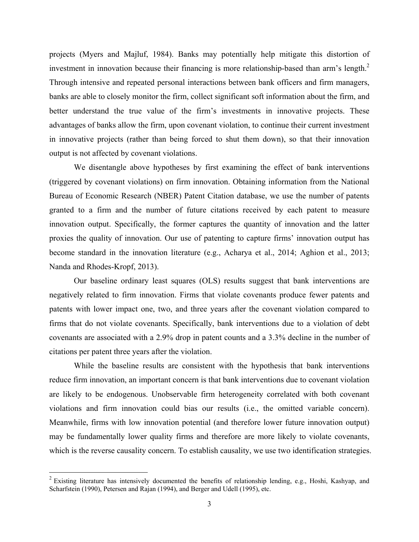projects (Myers and Majluf, 1984). Banks may potentially help mitigate this distortion of investment in innovation because their financing is more relationship-based than arm's length.<sup>2</sup> Through intensive and repeated personal interactions between bank officers and firm managers, banks are able to closely monitor the firm, collect significant soft information about the firm, and better understand the true value of the firm's investments in innovative projects. These advantages of banks allow the firm, upon covenant violation, to continue their current investment in innovative projects (rather than being forced to shut them down), so that their innovation output is not affected by covenant violations.

We disentangle above hypotheses by first examining the effect of bank interventions (triggered by covenant violations) on firm innovation. Obtaining information from the National Bureau of Economic Research (NBER) Patent Citation database, we use the number of patents granted to a firm and the number of future citations received by each patent to measure innovation output. Specifically, the former captures the quantity of innovation and the latter proxies the quality of innovation. Our use of patenting to capture firms' innovation output has become standard in the innovation literature (e.g., Acharya et al., 2014; Aghion et al., 2013; Nanda and Rhodes-Kropf, 2013).

Our baseline ordinary least squares (OLS) results suggest that bank interventions are negatively related to firm innovation. Firms that violate covenants produce fewer patents and patents with lower impact one, two, and three years after the covenant violation compared to firms that do not violate covenants. Specifically, bank interventions due to a violation of debt covenants are associated with a 2.9% drop in patent counts and a 3.3% decline in the number of citations per patent three years after the violation.

While the baseline results are consistent with the hypothesis that bank interventions reduce firm innovation, an important concern is that bank interventions due to covenant violation are likely to be endogenous. Unobservable firm heterogeneity correlated with both covenant violations and firm innovation could bias our results (i.e., the omitted variable concern). Meanwhile, firms with low innovation potential (and therefore lower future innovation output) may be fundamentally lower quality firms and therefore are more likely to violate covenants, which is the reverse causality concern. To establish causality, we use two identification strategies.

<sup>&</sup>lt;sup>2</sup> Existing literature has intensively documented the benefits of relationship lending, e.g., Hoshi, Kashyap, and Scharfstein (1990), Petersen and Rajan (1994), and Berger and Udell (1995), etc.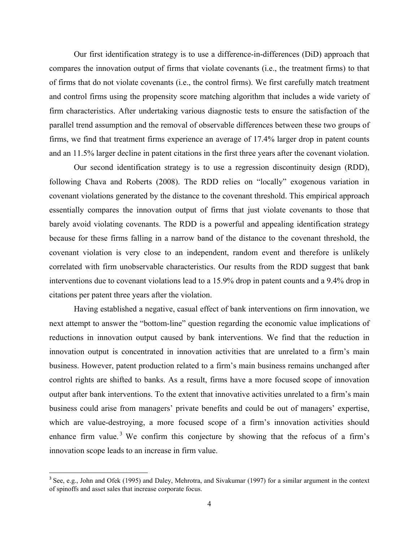Our first identification strategy is to use a difference-in-differences (DiD) approach that compares the innovation output of firms that violate covenants (i.e., the treatment firms) to that of firms that do not violate covenants (i.e., the control firms). We first carefully match treatment and control firms using the propensity score matching algorithm that includes a wide variety of firm characteristics. After undertaking various diagnostic tests to ensure the satisfaction of the parallel trend assumption and the removal of observable differences between these two groups of firms, we find that treatment firms experience an average of 17.4% larger drop in patent counts and an 11.5% larger decline in patent citations in the first three years after the covenant violation.

Our second identification strategy is to use a regression discontinuity design (RDD), following Chava and Roberts (2008). The RDD relies on "locally" exogenous variation in covenant violations generated by the distance to the covenant threshold. This empirical approach essentially compares the innovation output of firms that just violate covenants to those that barely avoid violating covenants. The RDD is a powerful and appealing identification strategy because for these firms falling in a narrow band of the distance to the covenant threshold, the covenant violation is very close to an independent, random event and therefore is unlikely correlated with firm unobservable characteristics. Our results from the RDD suggest that bank interventions due to covenant violations lead to a 15.9% drop in patent counts and a 9.4% drop in citations per patent three years after the violation.

Having established a negative, casual effect of bank interventions on firm innovation, we next attempt to answer the "bottom-line" question regarding the economic value implications of reductions in innovation output caused by bank interventions. We find that the reduction in innovation output is concentrated in innovation activities that are unrelated to a firm's main business. However, patent production related to a firm's main business remains unchanged after control rights are shifted to banks. As a result, firms have a more focused scope of innovation output after bank interventions. To the extent that innovative activities unrelated to a firm's main business could arise from managers' private benefits and could be out of managers' expertise, which are value-destroying, a more focused scope of a firm's innovation activities should enhance firm value.<sup>3</sup> We confirm this conjecture by showing that the refocus of a firm's innovation scope leads to an increase in firm value.

 $3$  See, e.g., John and Ofek (1995) and Daley, Mehrotra, and Sivakumar (1997) for a similar argument in the context of spinoffs and asset sales that increase corporate focus.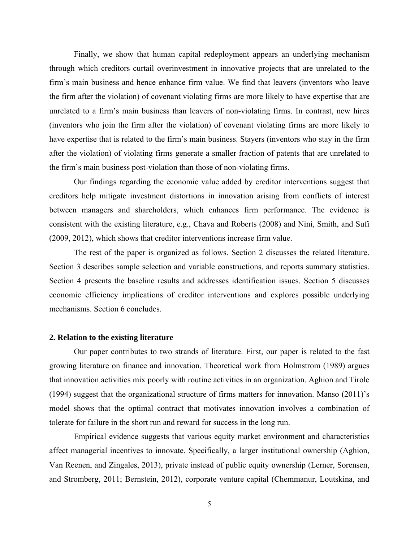Finally, we show that human capital redeployment appears an underlying mechanism through which creditors curtail overinvestment in innovative projects that are unrelated to the firm's main business and hence enhance firm value. We find that leavers (inventors who leave the firm after the violation) of covenant violating firms are more likely to have expertise that are unrelated to a firm's main business than leavers of non-violating firms. In contrast, new hires (inventors who join the firm after the violation) of covenant violating firms are more likely to have expertise that is related to the firm's main business. Stayers (inventors who stay in the firm after the violation) of violating firms generate a smaller fraction of patents that are unrelated to the firm's main business post-violation than those of non-violating firms.

Our findings regarding the economic value added by creditor interventions suggest that creditors help mitigate investment distortions in innovation arising from conflicts of interest between managers and shareholders, which enhances firm performance. The evidence is consistent with the existing literature, e.g., Chava and Roberts (2008) and Nini, Smith, and Sufi (2009, 2012), which shows that creditor interventions increase firm value.

The rest of the paper is organized as follows. Section 2 discusses the related literature. Section 3 describes sample selection and variable constructions, and reports summary statistics. Section 4 presents the baseline results and addresses identification issues. Section 5 discusses economic efficiency implications of creditor interventions and explores possible underlying mechanisms. Section 6 concludes.

#### **2. Relation to the existing literature**

Our paper contributes to two strands of literature. First, our paper is related to the fast growing literature on finance and innovation. Theoretical work from Holmstrom (1989) argues that innovation activities mix poorly with routine activities in an organization. Aghion and Tirole (1994) suggest that the organizational structure of firms matters for innovation. Manso (2011)'s model shows that the optimal contract that motivates innovation involves a combination of tolerate for failure in the short run and reward for success in the long run.

Empirical evidence suggests that various equity market environment and characteristics affect managerial incentives to innovate. Specifically, a larger institutional ownership (Aghion, Van Reenen, and Zingales, 2013), private instead of public equity ownership (Lerner, Sorensen, and Stromberg, 2011; Bernstein, 2012), corporate venture capital (Chemmanur, Loutskina, and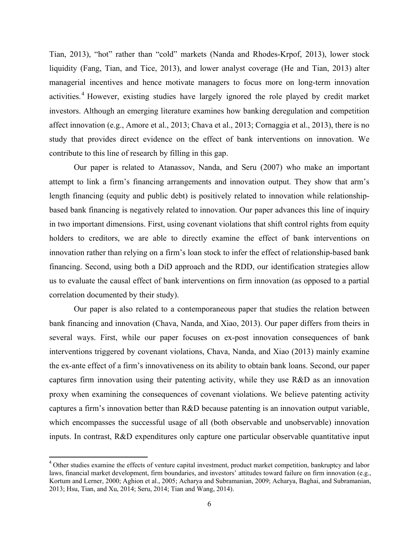Tian, 2013), "hot" rather than "cold" markets (Nanda and Rhodes-Krpof, 2013), lower stock liquidity (Fang, Tian, and Tice, 2013), and lower analyst coverage (He and Tian, 2013) alter managerial incentives and hence motivate managers to focus more on long-term innovation activities.<sup>4</sup> However, existing studies have largely ignored the role played by credit market investors. Although an emerging literature examines how banking deregulation and competition affect innovation (e.g., Amore et al., 2013; Chava et al., 2013; Cornaggia et al., 2013), there is no study that provides direct evidence on the effect of bank interventions on innovation. We contribute to this line of research by filling in this gap.

Our paper is related to Atanassov, Nanda, and Seru (2007) who make an important attempt to link a firm's financing arrangements and innovation output. They show that arm's length financing (equity and public debt) is positively related to innovation while relationshipbased bank financing is negatively related to innovation. Our paper advances this line of inquiry in two important dimensions. First, using covenant violations that shift control rights from equity holders to creditors, we are able to directly examine the effect of bank interventions on innovation rather than relying on a firm's loan stock to infer the effect of relationship-based bank financing. Second, using both a DiD approach and the RDD, our identification strategies allow us to evaluate the causal effect of bank interventions on firm innovation (as opposed to a partial correlation documented by their study).

Our paper is also related to a contemporaneous paper that studies the relation between bank financing and innovation (Chava, Nanda, and Xiao, 2013). Our paper differs from theirs in several ways. First, while our paper focuses on ex-post innovation consequences of bank interventions triggered by covenant violations, Chava, Nanda, and Xiao (2013) mainly examine the ex-ante effect of a firm's innovativeness on its ability to obtain bank loans. Second, our paper captures firm innovation using their patenting activity, while they use R&D as an innovation proxy when examining the consequences of covenant violations. We believe patenting activity captures a firm's innovation better than R&D because patenting is an innovation output variable, which encompasses the successful usage of all (both observable and unobservable) innovation inputs. In contrast, R&D expenditures only capture one particular observable quantitative input

<sup>&</sup>lt;sup>4</sup> Other studies examine the effects of venture capital investment, product market competition, bankruptcy and labor laws, financial market development, firm boundaries, and investors' attitudes toward failure on firm innovation (e.g., Kortum and Lerner, 2000; Aghion et al., 2005; Acharya and Subramanian, 2009; Acharya, Baghai, and Subramanian, 2013; Hsu, Tian, and Xu, 2014; Seru, 2014; Tian and Wang, 2014).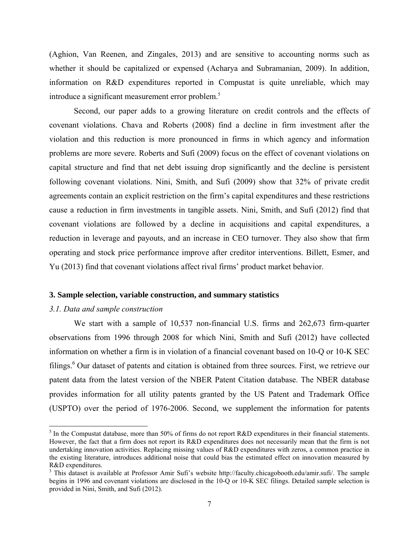(Aghion, Van Reenen, and Zingales, 2013) and are sensitive to accounting norms such as whether it should be capitalized or expensed (Acharya and Subramanian, 2009). In addition, information on R&D expenditures reported in Compustat is quite unreliable, which may introduce a significant measurement error problem.<sup>5</sup>

Second, our paper adds to a growing literature on credit controls and the effects of covenant violations. Chava and Roberts (2008) find a decline in firm investment after the violation and this reduction is more pronounced in firms in which agency and information problems are more severe. Roberts and Sufi (2009) focus on the effect of covenant violations on capital structure and find that net debt issuing drop significantly and the decline is persistent following covenant violations. Nini, Smith, and Sufi (2009) show that 32% of private credit agreements contain an explicit restriction on the firm's capital expenditures and these restrictions cause a reduction in firm investments in tangible assets. Nini, Smith, and Sufi (2012) find that covenant violations are followed by a decline in acquisitions and capital expenditures, a reduction in leverage and payouts, and an increase in CEO turnover. They also show that firm operating and stock price performance improve after creditor interventions. Billett, Esmer, and Yu (2013) find that covenant violations affect rival firms' product market behavior.

#### **3. Sample selection, variable construction, and summary statistics**

#### *3.1. Data and sample construction*

We start with a sample of 10,537 non-financial U.S. firms and 262,673 firm-quarter observations from 1996 through 2008 for which Nini, Smith and Sufi (2012) have collected information on whether a firm is in violation of a financial covenant based on 10-Q or 10-K SEC filings.<sup>6</sup> Our dataset of patents and citation is obtained from three sources. First, we retrieve our patent data from the latest version of the NBER Patent Citation database. The NBER database provides information for all utility patents granted by the US Patent and Trademark Office (USPTO) over the period of 1976-2006. Second, we supplement the information for patents

<sup>&</sup>lt;sup>5</sup> In the Compustat database, more than 50% of firms do not report R&D expenditures in their financial statements. However, the fact that a firm does not report its R&D expenditures does not necessarily mean that the firm is not undertaking innovation activities. Replacing missing values of R&D expenditures with zeros, a common practice in the existing literature, introduces additional noise that could bias the estimated effect on innovation measured by R&D expenditures.

<sup>&</sup>lt;sup>3</sup> This dataset is available at Professor Amir Sufi's website http://faculty.chicagobooth.edu/amir.sufi/. The sample begins in 1996 and covenant violations are disclosed in the 10-Q or 10-K SEC filings. Detailed sample selection is provided in Nini, Smith, and Sufi (2012).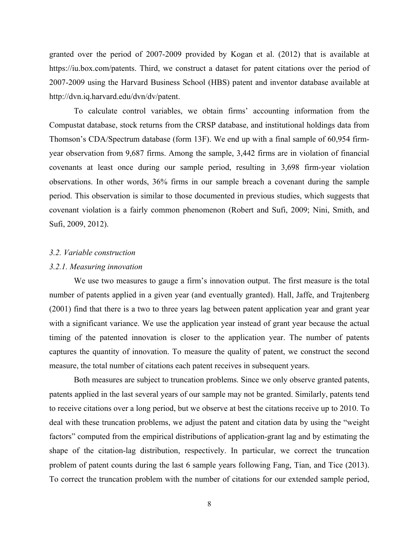granted over the period of 2007-2009 provided by Kogan et al. (2012) that is available at https://iu.box.com/patents. Third, we construct a dataset for patent citations over the period of 2007-2009 using the Harvard Business School (HBS) patent and inventor database available at http://dvn.iq.harvard.edu/dvn/dv/patent.

To calculate control variables, we obtain firms' accounting information from the Compustat database, stock returns from the CRSP database, and institutional holdings data from Thomson's CDA/Spectrum database (form 13F). We end up with a final sample of 60,954 firmyear observation from 9,687 firms. Among the sample, 3,442 firms are in violation of financial covenants at least once during our sample period, resulting in 3,698 firm-year violation observations. In other words, 36% firms in our sample breach a covenant during the sample period. This observation is similar to those documented in previous studies, which suggests that covenant violation is a fairly common phenomenon (Robert and Sufi, 2009; Nini, Smith, and Sufi, 2009, 2012).

#### *3.2. Variable construction*

#### *3.2.1. Measuring innovation*

We use two measures to gauge a firm's innovation output. The first measure is the total number of patents applied in a given year (and eventually granted). Hall, Jaffe, and Trajtenberg (2001) find that there is a two to three years lag between patent application year and grant year with a significant variance. We use the application year instead of grant year because the actual timing of the patented innovation is closer to the application year. The number of patents captures the quantity of innovation. To measure the quality of patent, we construct the second measure, the total number of citations each patent receives in subsequent years.

 Both measures are subject to truncation problems. Since we only observe granted patents, patents applied in the last several years of our sample may not be granted. Similarly, patents tend to receive citations over a long period, but we observe at best the citations receive up to 2010. To deal with these truncation problems, we adjust the patent and citation data by using the "weight factors" computed from the empirical distributions of application-grant lag and by estimating the shape of the citation-lag distribution, respectively. In particular, we correct the truncation problem of patent counts during the last 6 sample years following Fang, Tian, and Tice (2013). To correct the truncation problem with the number of citations for our extended sample period,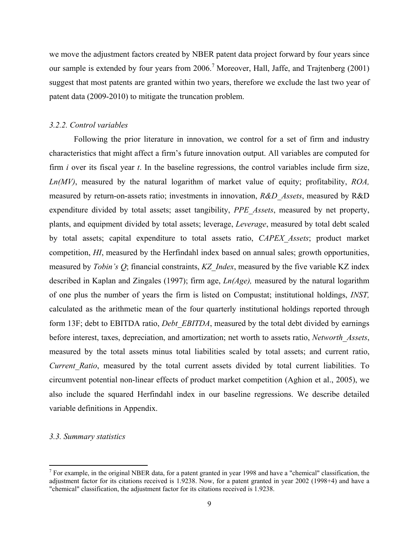we move the adjustment factors created by NBER patent data project forward by four years since our sample is extended by four years from  $2006$ .<sup>7</sup> Moreover, Hall, Jaffe, and Trajtenberg (2001) suggest that most patents are granted within two years, therefore we exclude the last two year of patent data (2009-2010) to mitigate the truncation problem.

#### *3.2.2. Control variables*

Following the prior literature in innovation, we control for a set of firm and industry characteristics that might affect a firm's future innovation output. All variables are computed for firm *i* over its fiscal year *t*. In the baseline regressions, the control variables include firm size, *Ln(MV)*, measured by the natural logarithm of market value of equity; profitability, *ROA,* measured by return-on-assets ratio; investments in innovation, *R&D\_Assets*, measured by R&D expenditure divided by total assets; asset tangibility, *PPE\_Assets*, measured by net property, plants, and equipment divided by total assets; leverage, *Leverage*, measured by total debt scaled by total assets; capital expenditure to total assets ratio, *CAPEX\_Assets*; product market competition, *HI*, measured by the Herfindahl index based on annual sales; growth opportunities, measured by *Tobin's Q*; financial constraints, *KZ\_Index*, measured by the five variable KZ index described in Kaplan and Zingales (1997); firm age, *Ln(Age),* measured by the natural logarithm of one plus the number of years the firm is listed on Compustat; institutional holdings, *INST,* calculated as the arithmetic mean of the four quarterly institutional holdings reported through form 13F; debt to EBITDA ratio, *Debt\_EBITDA*, measured by the total debt divided by earnings before interest, taxes, depreciation, and amortization; net worth to assets ratio, *Networth\_Assets*, measured by the total assets minus total liabilities scaled by total assets; and current ratio, *Current Ratio*, measured by the total current assets divided by total current liabilities. To circumvent potential non-linear effects of product market competition (Aghion et al., 2005), we also include the squared Herfindahl index in our baseline regressions. We describe detailed variable definitions in Appendix.

#### *3.3. Summary statistics*

<sup>&</sup>lt;sup>7</sup> For example, in the original NBER data, for a patent granted in year 1998 and have a "chemical" classification, the adjustment factor for its citations received is 1.9238. Now, for a patent granted in year 2002 (1998+4) and have a "chemical" classification, the adjustment factor for its citations received is 1.9238.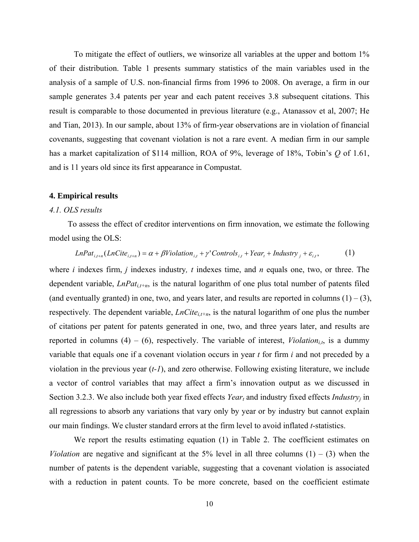To mitigate the effect of outliers, we winsorize all variables at the upper and bottom 1% of their distribution. Table 1 presents summary statistics of the main variables used in the analysis of a sample of U.S. non-financial firms from 1996 to 2008. On average, a firm in our sample generates 3.4 patents per year and each patent receives 3.8 subsequent citations. This result is comparable to those documented in previous literature (e.g., Atanassov et al, 2007; He and Tian, 2013). In our sample, about 13% of firm-year observations are in violation of financial covenants, suggesting that covenant violation is not a rare event. A median firm in our sample has a market capitalization of \$114 million, ROA of 9%, leverage of 18%, Tobin's *Q* of 1.61, and is 11 years old since its first appearance in Compustat.

#### **4. Empirical results**

#### *4.1. OLS results*

 To assess the effect of creditor interventions on firm innovation, we estimate the following model using the OLS:

$$
LnPat_{i,t+n}(LnCite_{i,t+n}) = \alpha + \beta Violation_{i,t} + \gamma' Controls_{i,t} + Year_t + Industry_t + \varepsilon_{i,t},
$$
 (1)

where *i* indexes firm, *j* indexes industry*, t* indexes time, and *n* equals one, two, or three. The dependent variable, *LnPati,t+n*, is the natural logarithm of one plus total number of patents filed (and eventually granted) in one, two, and years later, and results are reported in columns  $(1) - (3)$ , respectively. The dependent variable,  $LnCite_{i,t+n}$ , is the natural logarithm of one plus the number of citations per patent for patents generated in one, two, and three years later, and results are reported in columns  $(4) - (6)$ , respectively. The variable of interest, *Violation<sub>it</sub>*, is a dummy variable that equals one if a covenant violation occurs in year *t* for firm *i* and not preceded by a violation in the previous year (*t-1*), and zero otherwise. Following existing literature, we include a vector of control variables that may affect a firm's innovation output as we discussed in Section 3.2.3. We also include both year fixed effects *Year<sub>t</sub>* and industry fixed effects *Industry<sub>i</sub>* in all regressions to absorb any variations that vary only by year or by industry but cannot explain our main findings. We cluster standard errors at the firm level to avoid inflated *t*-statistics.

We report the results estimating equation (1) in Table 2. The coefficient estimates on *Violation* are negative and significant at the 5% level in all three columns  $(1) - (3)$  when the number of patents is the dependent variable, suggesting that a covenant violation is associated with a reduction in patent counts. To be more concrete, based on the coefficient estimate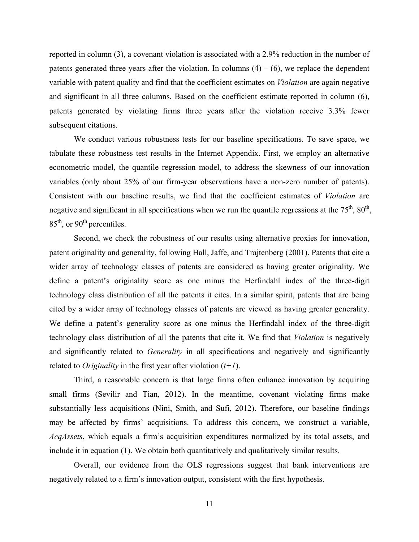reported in column (3), a covenant violation is associated with a 2.9% reduction in the number of patents generated three years after the violation. In columns  $(4) - (6)$ , we replace the dependent variable with patent quality and find that the coefficient estimates on *Violation* are again negative and significant in all three columns. Based on the coefficient estimate reported in column (6), patents generated by violating firms three years after the violation receive 3.3% fewer subsequent citations.

We conduct various robustness tests for our baseline specifications. To save space, we tabulate these robustness test results in the Internet Appendix. First, we employ an alternative econometric model, the quantile regression model, to address the skewness of our innovation variables (only about 25% of our firm-year observations have a non-zero number of patents). Consistent with our baseline results, we find that the coefficient estimates of *Violation* are negative and significant in all specifications when we run the quantile regressions at the  $75<sup>th</sup>$ ,  $80<sup>th</sup>$ ,  $85<sup>th</sup>$ , or  $90<sup>th</sup>$  percentiles.

Second, we check the robustness of our results using alternative proxies for innovation, patent originality and generality, following Hall, Jaffe, and Trajtenberg (2001). Patents that cite a wider array of technology classes of patents are considered as having greater originality. We define a patent's originality score as one minus the Herfindahl index of the three-digit technology class distribution of all the patents it cites. In a similar spirit, patents that are being cited by a wider array of technology classes of patents are viewed as having greater generality. We define a patent's generality score as one minus the Herfindahl index of the three-digit technology class distribution of all the patents that cite it. We find that *Violation* is negatively and significantly related to *Generality* in all specifications and negatively and significantly related to *Originality* in the first year after violation  $(t+1)$ .

Third, a reasonable concern is that large firms often enhance innovation by acquiring small firms (Sevilir and Tian, 2012). In the meantime, covenant violating firms make substantially less acquisitions (Nini, Smith, and Sufi, 2012). Therefore, our baseline findings may be affected by firms' acquisitions. To address this concern, we construct a variable, *AcqAssets*, which equals a firm's acquisition expenditures normalized by its total assets, and include it in equation (1). We obtain both quantitatively and qualitatively similar results.

Overall, our evidence from the OLS regressions suggest that bank interventions are negatively related to a firm's innovation output, consistent with the first hypothesis.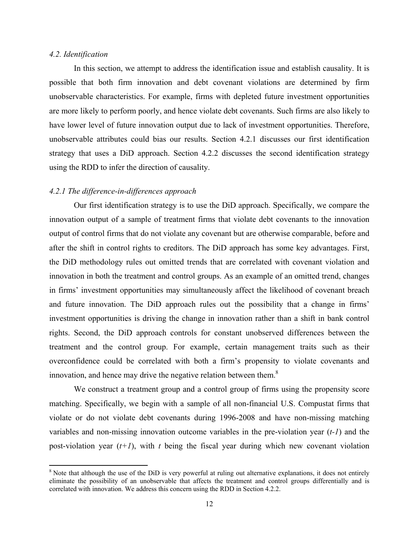#### *4.2. Identification*

In this section, we attempt to address the identification issue and establish causality. It is possible that both firm innovation and debt covenant violations are determined by firm unobservable characteristics. For example, firms with depleted future investment opportunities are more likely to perform poorly, and hence violate debt covenants. Such firms are also likely to have lower level of future innovation output due to lack of investment opportunities. Therefore, unobservable attributes could bias our results. Section 4.2.1 discusses our first identification strategy that uses a DiD approach. Section 4.2.2 discusses the second identification strategy using the RDD to infer the direction of causality.

#### *4.2.1 The difference-in-differences approach*

 Our first identification strategy is to use the DiD approach. Specifically, we compare the innovation output of a sample of treatment firms that violate debt covenants to the innovation output of control firms that do not violate any covenant but are otherwise comparable, before and after the shift in control rights to creditors. The DiD approach has some key advantages. First, the DiD methodology rules out omitted trends that are correlated with covenant violation and innovation in both the treatment and control groups. As an example of an omitted trend, changes in firms' investment opportunities may simultaneously affect the likelihood of covenant breach and future innovation. The DiD approach rules out the possibility that a change in firms' investment opportunities is driving the change in innovation rather than a shift in bank control rights. Second, the DiD approach controls for constant unobserved differences between the treatment and the control group. For example, certain management traits such as their overconfidence could be correlated with both a firm's propensity to violate covenants and innovation, and hence may drive the negative relation between them.<sup>8</sup>

 We construct a treatment group and a control group of firms using the propensity score matching. Specifically, we begin with a sample of all non-financial U.S. Compustat firms that violate or do not violate debt covenants during 1996-2008 and have non-missing matching variables and non-missing innovation outcome variables in the pre-violation year (*t-1*) and the post-violation year (*t+1*), with *t* being the fiscal year during which new covenant violation

<sup>&</sup>lt;sup>8</sup> Note that although the use of the DiD is very powerful at ruling out alternative explanations, it does not entirely eliminate the possibility of an unobservable that affects the treatment and control groups differentially and is correlated with innovation. We address this concern using the RDD in Section 4.2.2.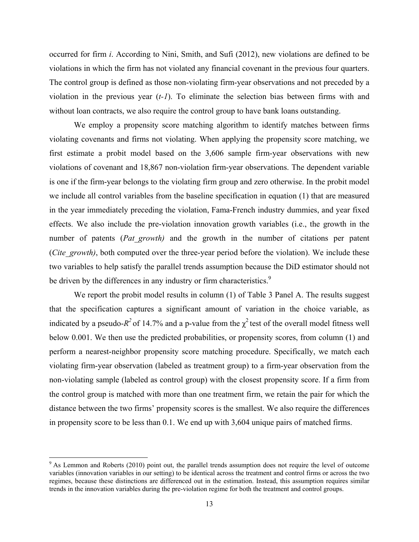occurred for firm *i*. According to Nini, Smith, and Sufi (2012), new violations are defined to be violations in which the firm has not violated any financial covenant in the previous four quarters. The control group is defined as those non-violating firm-year observations and not preceded by a violation in the previous year (*t-1*). To eliminate the selection bias between firms with and without loan contracts, we also require the control group to have bank loans outstanding.

 We employ a propensity score matching algorithm to identify matches between firms violating covenants and firms not violating. When applying the propensity score matching, we first estimate a probit model based on the 3,606 sample firm-year observations with new violations of covenant and 18,867 non-violation firm-year observations. The dependent variable is one if the firm-year belongs to the violating firm group and zero otherwise. In the probit model we include all control variables from the baseline specification in equation (1) that are measured in the year immediately preceding the violation, Fama-French industry dummies, and year fixed effects. We also include the pre-violation innovation growth variables (i.e., the growth in the number of patents (*Pat growth*) and the growth in the number of citations per patent (*Cite\_growth*), both computed over the three-year period before the violation). We include these two variables to help satisfy the parallel trends assumption because the DiD estimator should not be driven by the differences in any industry or firm characteristics.<sup>9</sup>

We report the probit model results in column (1) of Table 3 Panel A. The results suggest that the specification captures a significant amount of variation in the choice variable, as indicated by a pseudo- $R^2$  of 14.7% and a p-value from the  $\chi^2$  test of the overall model fitness well below 0.001. We then use the predicted probabilities, or propensity scores, from column (1) and perform a nearest-neighbor propensity score matching procedure. Specifically, we match each violating firm-year observation (labeled as treatment group) to a firm-year observation from the non-violating sample (labeled as control group) with the closest propensity score. If a firm from the control group is matched with more than one treatment firm, we retain the pair for which the distance between the two firms' propensity scores is the smallest. We also require the differences in propensity score to be less than 0.1. We end up with 3,604 unique pairs of matched firms.

 $9$ <sup>9</sup> As Lemmon and Roberts (2010) point out, the parallel trends assumption does not require the level of outcome variables (innovation variables in our setting) to be identical across the treatment and control firms or across the two regimes, because these distinctions are differenced out in the estimation. Instead, this assumption requires similar trends in the innovation variables during the pre-violation regime for both the treatment and control groups.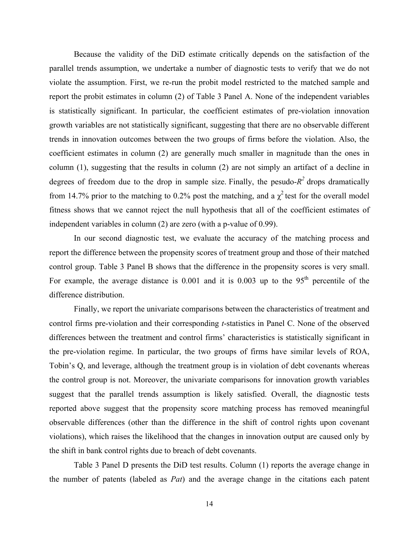Because the validity of the DiD estimate critically depends on the satisfaction of the parallel trends assumption, we undertake a number of diagnostic tests to verify that we do not violate the assumption. First, we re-run the probit model restricted to the matched sample and report the probit estimates in column (2) of Table 3 Panel A. None of the independent variables is statistically significant. In particular, the coefficient estimates of pre-violation innovation growth variables are not statistically significant, suggesting that there are no observable different trends in innovation outcomes between the two groups of firms before the violation. Also, the coefficient estimates in column (2) are generally much smaller in magnitude than the ones in column (1), suggesting that the results in column (2) are not simply an artifact of a decline in degrees of freedom due to the drop in sample size. Finally, the pesudo- $R^2$  drops dramatically from 14.7% prior to the matching to 0.2% post the matching, and a  $\chi^2$  test for the overall model fitness shows that we cannot reject the null hypothesis that all of the coefficient estimates of independent variables in column (2) are zero (with a p-value of 0.99).

In our second diagnostic test, we evaluate the accuracy of the matching process and report the difference between the propensity scores of treatment group and those of their matched control group. Table 3 Panel B shows that the difference in the propensity scores is very small. For example, the average distance is  $0.001$  and it is  $0.003$  up to the  $95<sup>th</sup>$  percentile of the difference distribution.

Finally, we report the univariate comparisons between the characteristics of treatment and control firms pre-violation and their corresponding *t*-statistics in Panel C. None of the observed differences between the treatment and control firms' characteristics is statistically significant in the pre-violation regime. In particular, the two groups of firms have similar levels of ROA, Tobin's Q, and leverage, although the treatment group is in violation of debt covenants whereas the control group is not. Moreover, the univariate comparisons for innovation growth variables suggest that the parallel trends assumption is likely satisfied. Overall, the diagnostic tests reported above suggest that the propensity score matching process has removed meaningful observable differences (other than the difference in the shift of control rights upon covenant violations), which raises the likelihood that the changes in innovation output are caused only by the shift in bank control rights due to breach of debt covenants.

Table 3 Panel D presents the DiD test results. Column (1) reports the average change in the number of patents (labeled as *Pat*) and the average change in the citations each patent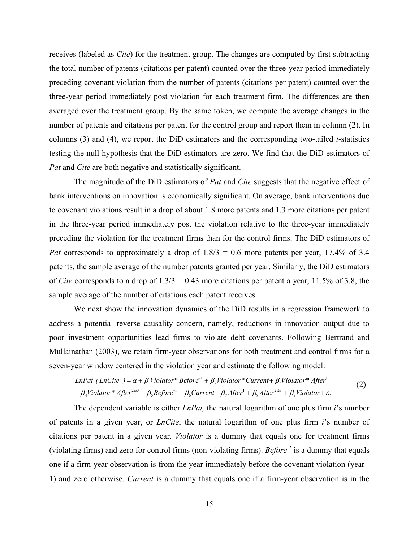receives (labeled as *Cite*) for the treatment group. The changes are computed by first subtracting the total number of patents (citations per patent) counted over the three-year period immediately preceding covenant violation from the number of patents (citations per patent) counted over the three-year period immediately post violation for each treatment firm. The differences are then averaged over the treatment group. By the same token, we compute the average changes in the number of patents and citations per patent for the control group and report them in column (2). In columns (3) and (4), we report the DiD estimators and the corresponding two-tailed *t*-statistics testing the null hypothesis that the DiD estimators are zero. We find that the DiD estimators of *Pat* and *Cite* are both negative and statistically significant.

The magnitude of the DiD estimators of *Pat* and *Cite* suggests that the negative effect of bank interventions on innovation is economically significant. On average, bank interventions due to covenant violations result in a drop of about 1.8 more patents and 1.3 more citations per patent in the three-year period immediately post the violation relative to the three-year immediately preceding the violation for the treatment firms than for the control firms. The DiD estimators of *Pat* corresponds to approximately a drop of  $1.8/3 = 0.6$  more patents per year, 17.4% of 3.4 patents, the sample average of the number patents granted per year. Similarly, the DiD estimators of *Cite* corresponds to a drop of 1.3/3 = 0.43 more citations per patent a year, 11.5% of 3.8, the sample average of the number of citations each patent receives.

We next show the innovation dynamics of the DiD results in a regression framework to address a potential reverse causality concern, namely, reductions in innovation output due to poor investment opportunities lead firms to violate debt covenants. Following Bertrand and Mullainathan (2003), we retain firm-year observations for both treatment and control firms for a seven-year window centered in the violation year and estimate the following model:

$$
LnPat (LnCite ) = \alpha + \beta_1 Violator * Before^{-1} + \beta_2 Violator * Current + \beta_3 Violator * After^1
$$
  
+  $\beta_4 Violator * After^{2\alpha} + \beta_5 Before^{-1} + \beta_6Current + \beta_7 After^1 + \beta_8 After^{2\alpha} + \beta_9 Violator + \varepsilon.$  (2)

The dependent variable is either *LnPat,* the natural logarithm of one plus firm *i*'s number of patents in a given year, or *LnCite*, the natural logarithm of one plus firm *i*'s number of citations per patent in a given year. *Violator* is a dummy that equals one for treatment firms (violating firms) and zero for control firms (non-violating firms). *Before-1* is a dummy that equals one if a firm-year observation is from the year immediately before the covenant violation (year - 1) and zero otherwise. *Current* is a dummy that equals one if a firm-year observation is in the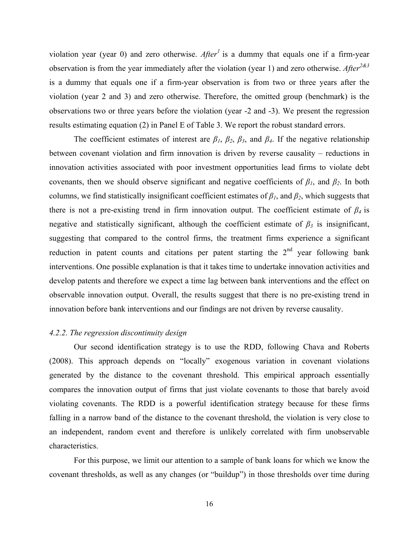violation year (year 0) and zero otherwise. *After<sup>1</sup>*is a dummy that equals one if a firm-year observation is from the year immediately after the violation (year 1) and zero otherwise. *After*<sup>2&3</sup> is a dummy that equals one if a firm-year observation is from two or three years after the violation (year 2 and 3) and zero otherwise. Therefore, the omitted group (benchmark) is the observations two or three years before the violation (year -2 and -3). We present the regression results estimating equation (2) in Panel E of Table 3. We report the robust standard errors.

The coefficient estimates of interest are  $\beta_1$ ,  $\beta_2$ ,  $\beta_3$ , and  $\beta_4$ . If the negative relationship between covenant violation and firm innovation is driven by reverse causality – reductions in innovation activities associated with poor investment opportunities lead firms to violate debt covenants, then we should observe significant and negative coefficients of  $\beta_l$ , and  $\beta_2$ . In both columns, we find statistically insignificant coefficient estimates of  $\beta_1$ , and  $\beta_2$ , which suggests that there is not a pre-existing trend in firm innovation output. The coefficient estimate of *β4* is negative and statistically significant, although the coefficient estimate of  $\beta_3$  is insignificant, suggesting that compared to the control firms, the treatment firms experience a significant reduction in patent counts and citations per patent starting the  $2<sup>nd</sup>$  year following bank interventions. One possible explanation is that it takes time to undertake innovation activities and develop patents and therefore we expect a time lag between bank interventions and the effect on observable innovation output. Overall, the results suggest that there is no pre-existing trend in innovation before bank interventions and our findings are not driven by reverse causality.

#### *4.2.2. The regression discontinuity design*

 Our second identification strategy is to use the RDD, following Chava and Roberts (2008). This approach depends on "locally" exogenous variation in covenant violations generated by the distance to the covenant threshold. This empirical approach essentially compares the innovation output of firms that just violate covenants to those that barely avoid violating covenants. The RDD is a powerful identification strategy because for these firms falling in a narrow band of the distance to the covenant threshold, the violation is very close to an independent, random event and therefore is unlikely correlated with firm unobservable characteristics.

 For this purpose, we limit our attention to a sample of bank loans for which we know the covenant thresholds, as well as any changes (or "buildup") in those thresholds over time during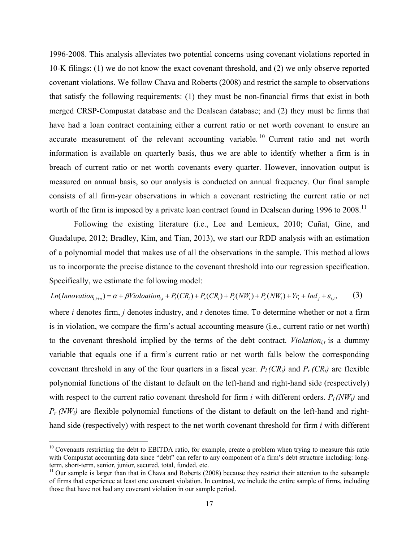1996-2008. This analysis alleviates two potential concerns using covenant violations reported in 10-K filings: (1) we do not know the exact covenant threshold, and (2) we only observe reported covenant violations. We follow Chava and Roberts (2008) and restrict the sample to observations that satisfy the following requirements: (1) they must be non-financial firms that exist in both merged CRSP-Compustat database and the Dealscan database; and (2) they must be firms that have had a loan contract containing either a current ratio or net worth covenant to ensure an accurate measurement of the relevant accounting variable.<sup>10</sup> Current ratio and net worth information is available on quarterly basis, thus we are able to identify whether a firm is in breach of current ratio or net worth covenants every quarter. However, innovation output is measured on annual basis, so our analysis is conducted on annual frequency. Our final sample consists of all firm-year observations in which a covenant restricting the current ratio or net worth of the firm is imposed by a private loan contract found in Dealscan during 1996 to 2008.<sup>11</sup>

Following the existing literature (i.e., Lee and Lemieux, 2010; Cuñat, Gine, and Guadalupe, 2012; Bradley, Kim, and Tian, 2013), we start our RDD analysis with an estimation of a polynomial model that makes use of all the observations in the sample. This method allows us to incorporate the precise distance to the covenant threshold into our regression specification. Specifically, we estimate the following model:

 $Ln(Innovation_{i,t+n}) = \alpha + \beta Violoation_{i,t} + P_i(CR_i) + P_r(CR_i) + P_i(NW_i) + P_r(NW_i) + Yr_t + Ind_j + \varepsilon_{i,t}$  (3)

where *i* denotes firm, *j* denotes industry, and *t* denotes time. To determine whether or not a firm is in violation, we compare the firm's actual accounting measure (i.e., current ratio or net worth) to the covenant threshold implied by the terms of the debt contract. *Violation*<sub>it</sub> is a dummy variable that equals one if a firm's current ratio or net worth falls below the corresponding covenant threshold in any of the four quarters in a fiscal year.  $P_l (CR_l)$  and  $P_r (CR_l)$  are flexible polynomial functions of the distant to default on the left-hand and right-hand side (respectively) with respect to the current ratio covenant threshold for firm *i* with different orders.  $P_l (NW_i)$  and  $P_r (NW_i)$  are flexible polynomial functions of the distant to default on the left-hand and righthand side (respectively) with respect to the net worth covenant threshold for firm *i* with different

<sup>&</sup>lt;sup>10</sup> Covenants restricting the debt to EBITDA ratio, for example, create a problem when trying to measure this ratio with Compustat accounting data since "debt" can refer to any component of a firm's debt structure including: longterm, short-term, senior, junior, secured, total, funded, etc.

<sup>&</sup>lt;sup>11</sup> Our sample is larger than that in Chava and Roberts (2008) because they restrict their attention to the subsample of firms that experience at least one covenant violation. In contrast, we include the entire sample of firms, including those that have not had any covenant violation in our sample period.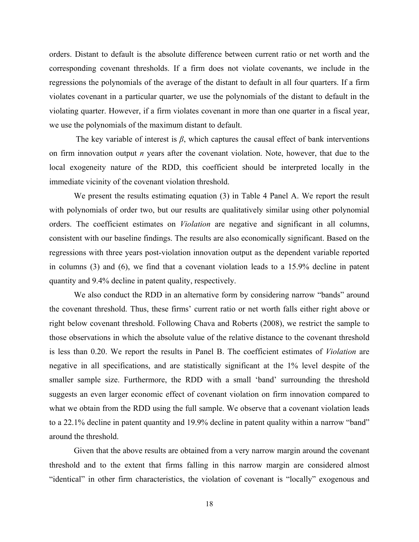orders. Distant to default is the absolute difference between current ratio or net worth and the corresponding covenant thresholds. If a firm does not violate covenants, we include in the regressions the polynomials of the average of the distant to default in all four quarters. If a firm violates covenant in a particular quarter, we use the polynomials of the distant to default in the violating quarter. However, if a firm violates covenant in more than one quarter in a fiscal year, we use the polynomials of the maximum distant to default.

The key variable of interest is  $\beta$ , which captures the causal effect of bank interventions on firm innovation output *n* years after the covenant violation. Note, however, that due to the local exogeneity nature of the RDD, this coefficient should be interpreted locally in the immediate vicinity of the covenant violation threshold.

We present the results estimating equation (3) in Table 4 Panel A. We report the result with polynomials of order two, but our results are qualitatively similar using other polynomial orders. The coefficient estimates on *Violation* are negative and significant in all columns, consistent with our baseline findings. The results are also economically significant. Based on the regressions with three years post-violation innovation output as the dependent variable reported in columns (3) and (6), we find that a covenant violation leads to a 15.9% decline in patent quantity and 9.4% decline in patent quality, respectively.

We also conduct the RDD in an alternative form by considering narrow "bands" around the covenant threshold. Thus, these firms' current ratio or net worth falls either right above or right below covenant threshold. Following Chava and Roberts (2008), we restrict the sample to those observations in which the absolute value of the relative distance to the covenant threshold is less than 0.20. We report the results in Panel B. The coefficient estimates of *Violation* are negative in all specifications, and are statistically significant at the 1% level despite of the smaller sample size. Furthermore, the RDD with a small 'band' surrounding the threshold suggests an even larger economic effect of covenant violation on firm innovation compared to what we obtain from the RDD using the full sample. We observe that a covenant violation leads to a 22.1% decline in patent quantity and 19.9% decline in patent quality within a narrow "band" around the threshold.

Given that the above results are obtained from a very narrow margin around the covenant threshold and to the extent that firms falling in this narrow margin are considered almost "identical" in other firm characteristics, the violation of covenant is "locally" exogenous and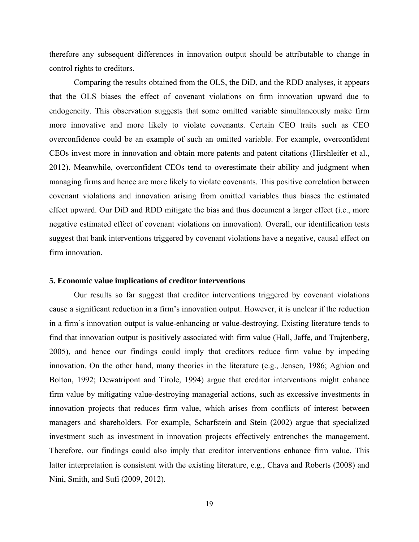therefore any subsequent differences in innovation output should be attributable to change in control rights to creditors.

Comparing the results obtained from the OLS, the DiD, and the RDD analyses, it appears that the OLS biases the effect of covenant violations on firm innovation upward due to endogeneity. This observation suggests that some omitted variable simultaneously make firm more innovative and more likely to violate covenants. Certain CEO traits such as CEO overconfidence could be an example of such an omitted variable. For example, overconfident CEOs invest more in innovation and obtain more patents and patent citations (Hirshleifer et al., 2012). Meanwhile, overconfident CEOs tend to overestimate their ability and judgment when managing firms and hence are more likely to violate covenants. This positive correlation between covenant violations and innovation arising from omitted variables thus biases the estimated effect upward. Our DiD and RDD mitigate the bias and thus document a larger effect (i.e., more negative estimated effect of covenant violations on innovation). Overall, our identification tests suggest that bank interventions triggered by covenant violations have a negative, causal effect on firm innovation.

#### **5. Economic value implications of creditor interventions**

Our results so far suggest that creditor interventions triggered by covenant violations cause a significant reduction in a firm's innovation output. However, it is unclear if the reduction in a firm's innovation output is value-enhancing or value-destroying. Existing literature tends to find that innovation output is positively associated with firm value (Hall, Jaffe, and Trajtenberg, 2005), and hence our findings could imply that creditors reduce firm value by impeding innovation. On the other hand, many theories in the literature (e.g., Jensen, 1986; Aghion and Bolton, 1992; Dewatripont and Tirole, 1994) argue that creditor interventions might enhance firm value by mitigating value-destroying managerial actions, such as excessive investments in innovation projects that reduces firm value, which arises from conflicts of interest between managers and shareholders. For example, Scharfstein and Stein (2002) argue that specialized investment such as investment in innovation projects effectively entrenches the management. Therefore, our findings could also imply that creditor interventions enhance firm value. This latter interpretation is consistent with the existing literature, e.g., Chava and Roberts (2008) and Nini, Smith, and Sufi (2009, 2012).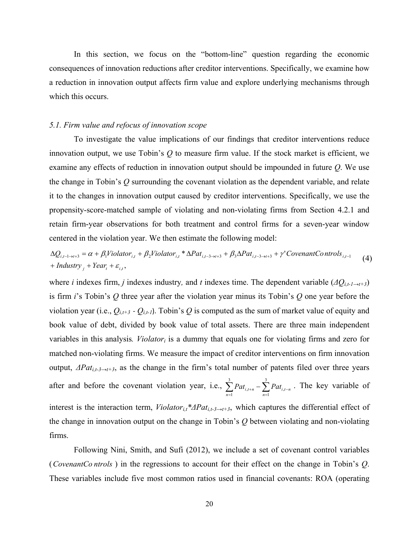In this section, we focus on the "bottom-line" question regarding the economic consequences of innovation reductions after creditor interventions. Specifically, we examine how a reduction in innovation output affects firm value and explore underlying mechanisms through which this occurs.

#### *5.1. Firm value and refocus of innovation scope*

 To investigate the value implications of our findings that creditor interventions reduce innovation output, we use Tobin's *Q* to measure firm value. If the stock market is efficient, we examine any effects of reduction in innovation output should be impounded in future *Q*. We use the change in Tobin's *Q* surrounding the covenant violation as the dependent variable, and relate it to the changes in innovation output caused by creditor interventions. Specifically, we use the propensity-score-matched sample of violating and non-violating firms from Section 4.2.1 and retain firm-year observations for both treatment and control firms for a seven-year window centered in the violation year. We then estimate the following model:

 $+$ *Industry*<sub>*j*</sub> + *Year*<sub>t</sub> +  $\varepsilon$ <sub>*i,t*</sub>,  $\Delta Q_{i,t-1\rightarrow t+3} = \alpha + \beta_1$ Violator<sub>i,t</sub> +  $\beta_2$ Violator<sub>i,t</sub> \*  $\Delta Pat_{i,t-3\rightarrow t+3} + \beta_3 \Delta Pat_{i,t-3\rightarrow t+3} + \gamma' \text{CovenantConfs}_{i,t-1}$  (4)

where *i* indexes firm, *j* indexes industry*,* and *t* indexes time. The dependent variable (*ΔQi,t-1→t+3*) is firm *i*'s Tobin's *Q* three year after the violation year minus its Tobin's *Q* one year before the violation year (i.e.,  $Q_{i,t+3}$  -  $Q_{i,t-1}$ ). Tobin's Q is computed as the sum of market value of equity and book value of debt, divided by book value of total assets. There are three main independent variables in this analysis*. Violatori* is a dummy that equals one for violating firms and zero for matched non-violating firms. We measure the impact of creditor interventions on firm innovation output, *ΔPati,t-3→t+3*, as the change in the firm's total number of patents filed over three years after and before the covenant violation year, i.e.,  $\sum_{n=1}^{3} Pat_{i,t+n} - \sum_{n=1}^{3} Pat_{i,t-n}$  $\mathbf{I}^{I \; u_i}$ 3  $\sum_{n=1}$  *Pat*<sub>*i*, *t*-*n*</sub>  $\sum_{n=1}$  *Pat*<sub>*i*, *t*-*n*</sub>  $\sum$  The key variable of interest is the interaction term, *Violatori,t\*ΔPati,t-3→t+3*, which captures the differential effect of the change in innovation output on the change in Tobin's *Q* between violating and non-violating firms.

Following Nini, Smith, and Sufi (2012), we include a set of covenant control variables (*CovenantCo ntrols* ) in the regressions to account for their effect on the change in Tobin's *Q*. These variables include five most common ratios used in financial covenants: ROA (operating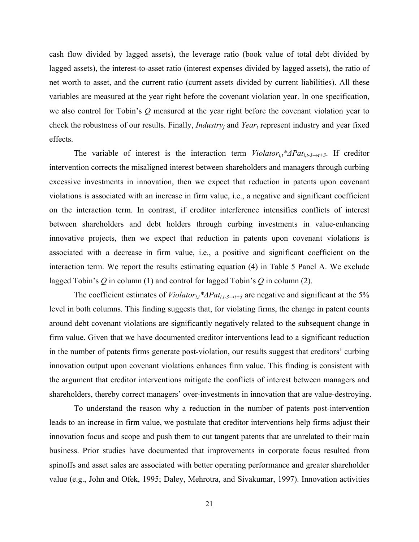cash flow divided by lagged assets), the leverage ratio (book value of total debt divided by lagged assets), the interest-to-asset ratio (interest expenses divided by lagged assets), the ratio of net worth to asset, and the current ratio (current assets divided by current liabilities). All these variables are measured at the year right before the covenant violation year. In one specification, we also control for Tobin's *Q* measured at the year right before the covenant violation year to check the robustness of our results. Finally, *Industry<sub>i</sub>* and *Year<sub>t</sub>* represent industry and year fixed effects.

The variable of interest is the interaction term  $Violator_{i,t} * \Delta Pat_{i,t-3\rightarrow t+3}$ . If creditor intervention corrects the misaligned interest between shareholders and managers through curbing excessive investments in innovation, then we expect that reduction in patents upon covenant violations is associated with an increase in firm value, i.e., a negative and significant coefficient on the interaction term. In contrast, if creditor interference intensifies conflicts of interest between shareholders and debt holders through curbing investments in value-enhancing innovative projects, then we expect that reduction in patents upon covenant violations is associated with a decrease in firm value, i.e., a positive and significant coefficient on the interaction term. We report the results estimating equation (4) in Table 5 Panel A. We exclude lagged Tobin's *Q* in column (1) and control for lagged Tobin's *Q* in column (2).

The coefficient estimates of *Violator<sub>it</sub>*\* $\Delta Pat_{i,t-3\rightarrow t+3}$  are negative and significant at the 5% level in both columns. This finding suggests that, for violating firms, the change in patent counts around debt covenant violations are significantly negatively related to the subsequent change in firm value. Given that we have documented creditor interventions lead to a significant reduction in the number of patents firms generate post-violation, our results suggest that creditors' curbing innovation output upon covenant violations enhances firm value. This finding is consistent with the argument that creditor interventions mitigate the conflicts of interest between managers and shareholders, thereby correct managers' over-investments in innovation that are value-destroying.

To understand the reason why a reduction in the number of patents post-intervention leads to an increase in firm value, we postulate that creditor interventions help firms adjust their innovation focus and scope and push them to cut tangent patents that are unrelated to their main business. Prior studies have documented that improvements in corporate focus resulted from spinoffs and asset sales are associated with better operating performance and greater shareholder value (e.g., John and Ofek, 1995; Daley, Mehrotra, and Sivakumar, 1997). Innovation activities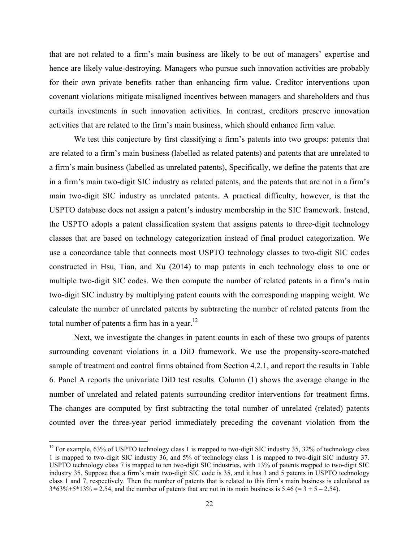that are not related to a firm's main business are likely to be out of managers' expertise and hence are likely value-destroying. Managers who pursue such innovation activities are probably for their own private benefits rather than enhancing firm value. Creditor interventions upon covenant violations mitigate misaligned incentives between managers and shareholders and thus curtails investments in such innovation activities. In contrast, creditors preserve innovation activities that are related to the firm's main business, which should enhance firm value.

We test this conjecture by first classifying a firm's patents into two groups: patents that are related to a firm's main business (labelled as related patents) and patents that are unrelated to a firm's main business (labelled as unrelated patents), Specifically, we define the patents that are in a firm's main two-digit SIC industry as related patents, and the patents that are not in a firm's main two-digit SIC industry as unrelated patents. A practical difficulty, however, is that the USPTO database does not assign a patent's industry membership in the SIC framework. Instead, the USPTO adopts a patent classification system that assigns patents to three-digit technology classes that are based on technology categorization instead of final product categorization. We use a concordance table that connects most USPTO technology classes to two-digit SIC codes constructed in Hsu, Tian, and Xu (2014) to map patents in each technology class to one or multiple two-digit SIC codes. We then compute the number of related patents in a firm's main two-digit SIC industry by multiplying patent counts with the corresponding mapping weight. We calculate the number of unrelated patents by subtracting the number of related patents from the total number of patents a firm has in a year. $^{12}$ 

Next, we investigate the changes in patent counts in each of these two groups of patents surrounding covenant violations in a DiD framework. We use the propensity-score-matched sample of treatment and control firms obtained from Section 4.2.1, and report the results in Table 6. Panel A reports the univariate DiD test results. Column (1) shows the average change in the number of unrelated and related patents surrounding creditor interventions for treatment firms. The changes are computed by first subtracting the total number of unrelated (related) patents counted over the three-year period immediately preceding the covenant violation from the

 $12$  For example, 63% of USPTO technology class 1 is mapped to two-digit SIC industry 35, 32% of technology class 1 is mapped to two-digit SIC industry 36, and 5% of technology class 1 is mapped to two-digit SIC industry 37. USPTO technology class 7 is mapped to ten two-digit SIC industries, with 13% of patents mapped to two-digit SIC industry 35. Suppose that a firm's main two-digit SIC code is 35, and it has 3 and 5 patents in USPTO technology class 1 and 7, respectively. Then the number of patents that is related to this firm's main business is calculated as  $3*63\% + 5*13\% = 2.54$ , and the number of patents that are not in its main business is  $5.46 (= 3 + 5 - 2.54)$ .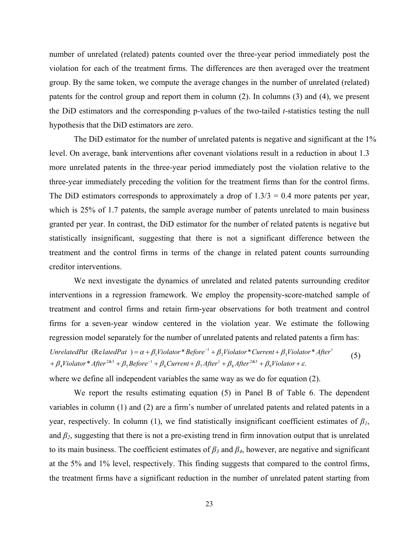number of unrelated (related) patents counted over the three-year period immediately post the violation for each of the treatment firms. The differences are then averaged over the treatment group. By the same token, we compute the average changes in the number of unrelated (related) patents for the control group and report them in column (2). In columns (3) and (4), we present the DiD estimators and the corresponding p-values of the two-tailed *t*-statistics testing the null hypothesis that the DiD estimators are zero.

The DiD estimator for the number of unrelated patents is negative and significant at the 1% level. On average, bank interventions after covenant violations result in a reduction in about 1.3 more unrelated patents in the three-year period immediately post the violation relative to the three-year immediately preceding the volition for the treatment firms than for the control firms. The DiD estimators corresponds to approximately a drop of  $1.3/3 = 0.4$  more patents per year, which is 25% of 1.7 patents, the sample average number of patents unrelated to main business granted per year. In contrast, the DiD estimator for the number of related patents is negative but statistically insignificant, suggesting that there is not a significant difference between the treatment and the control firms in terms of the change in related patent counts surrounding creditor interventions.

We next investigate the dynamics of unrelated and related patents surrounding creditor interventions in a regression framework. We employ the propensity-score-matched sample of treatment and control firms and retain firm-year observations for both treatment and control firms for a seven-year window centered in the violation year. We estimate the following regression model separately for the number of unrelated patents and related patents a firm has:  $+\beta_4$ Violator \* After<sup>2&3</sup> +  $\beta_5$ Before<sup>-1</sup> +  $\beta_6$ Current +  $\beta_7$ After<sup>1</sup> +  $\beta_8$ After<sup>2&3</sup> +  $\beta_9$ Violator +  $\varepsilon$ . UnrelatedPat (RelatedPat) =  $\alpha + \beta_1$ Violator \* Before<sup>-1</sup> +  $\beta_2$ Violator \* Current +  $\beta_3$ Violator \* After<sup>1</sup> (5)

where we define all independent variables the same way as we do for equation (2).

We report the results estimating equation (5) in Panel B of Table 6. The dependent variables in column (1) and (2) are a firm's number of unrelated patents and related patents in a year, respectively. In column (1), we find statistically insignificant coefficient estimates of  $\beta_l$ , and  $\beta_2$ , suggesting that there is not a pre-existing trend in firm innovation output that is unrelated to its main business. The coefficient estimates of  $\beta_3$  and  $\beta_4$ , however, are negative and significant at the 5% and 1% level, respectively. This finding suggests that compared to the control firms, the treatment firms have a significant reduction in the number of unrelated patent starting from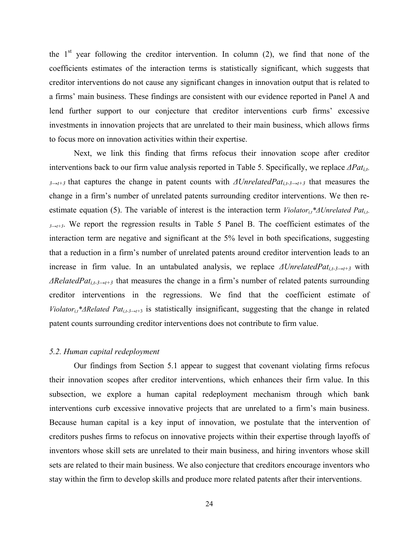the  $1<sup>st</sup>$  year following the creditor intervention. In column (2), we find that none of the coefficients estimates of the interaction terms is statistically significant, which suggests that creditor interventions do not cause any significant changes in innovation output that is related to a firms' main business. These findings are consistent with our evidence reported in Panel A and lend further support to our conjecture that creditor interventions curb firms' excessive investments in innovation projects that are unrelated to their main business, which allows firms to focus more on innovation activities within their expertise.

Next, we link this finding that firms refocus their innovation scope after creditor interventions back to our firm value analysis reported in Table 5. Specifically, we replace  $\Delta Pat_{i,t-1}$ *<sup>3</sup>→t+3* that captures the change in patent counts with *ΔUnrelatedPati,t-3→t+3* that measures the change in a firm's number of unrelated patents surrounding creditor interventions. We then reestimate equation (5). The variable of interest is the interaction term *Violator<sub>i,t</sub>\*ΔUnrelated Pat<sub>i,t</sub>-* $3\rightarrow t+3$ . We report the regression results in Table 5 Panel B. The coefficient estimates of the interaction term are negative and significant at the 5% level in both specifications, suggesting that a reduction in a firm's number of unrelated patents around creditor intervention leads to an increase in firm value. In an untabulated analysis, we replace *ΔUnrelatedPati,t-3→t+3* with *ΔRelatedPat<sub>i,t-3→t+3*</sub> that measures the change in a firm's number of related patents surrounding creditor interventions in the regressions. We find that the coefficient estimate of *Violator<sub>it</sub>\*ΔRelated Pat<sub>i,t-3→t+*3</sub> is statistically insignificant, suggesting that the change in related patent counts surrounding creditor interventions does not contribute to firm value.

#### *5.2. Human capital redeployment*

Our findings from Section 5.1 appear to suggest that covenant violating firms refocus their innovation scopes after creditor interventions, which enhances their firm value. In this subsection, we explore a human capital redeployment mechanism through which bank interventions curb excessive innovative projects that are unrelated to a firm's main business. Because human capital is a key input of innovation, we postulate that the intervention of creditors pushes firms to refocus on innovative projects within their expertise through layoffs of inventors whose skill sets are unrelated to their main business, and hiring inventors whose skill sets are related to their main business. We also conjecture that creditors encourage inventors who stay within the firm to develop skills and produce more related patents after their interventions.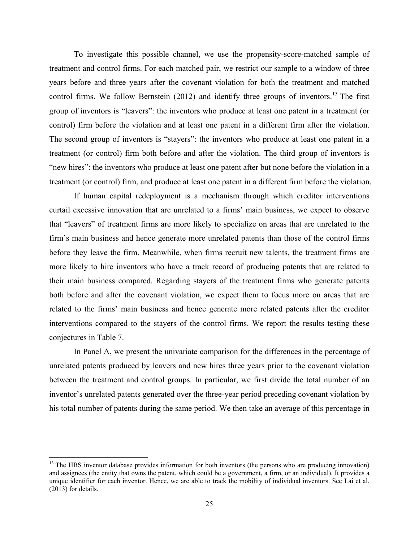To investigate this possible channel, we use the propensity-score-matched sample of treatment and control firms. For each matched pair, we restrict our sample to a window of three years before and three years after the covenant violation for both the treatment and matched control firms. We follow Bernstein  $(2012)$  and identify three groups of inventors.<sup>13</sup> The first group of inventors is "leavers": the inventors who produce at least one patent in a treatment (or control) firm before the violation and at least one patent in a different firm after the violation. The second group of inventors is "stayers": the inventors who produce at least one patent in a treatment (or control) firm both before and after the violation. The third group of inventors is "new hires": the inventors who produce at least one patent after but none before the violation in a treatment (or control) firm, and produce at least one patent in a different firm before the violation.

If human capital redeployment is a mechanism through which creditor interventions curtail excessive innovation that are unrelated to a firms' main business, we expect to observe that "leavers" of treatment firms are more likely to specialize on areas that are unrelated to the firm's main business and hence generate more unrelated patents than those of the control firms before they leave the firm. Meanwhile, when firms recruit new talents, the treatment firms are more likely to hire inventors who have a track record of producing patents that are related to their main business compared. Regarding stayers of the treatment firms who generate patents both before and after the covenant violation, we expect them to focus more on areas that are related to the firms' main business and hence generate more related patents after the creditor interventions compared to the stayers of the control firms. We report the results testing these conjectures in Table 7.

In Panel A, we present the univariate comparison for the differences in the percentage of unrelated patents produced by leavers and new hires three years prior to the covenant violation between the treatment and control groups. In particular, we first divide the total number of an inventor's unrelated patents generated over the three-year period preceding covenant violation by his total number of patents during the same period. We then take an average of this percentage in

<sup>&</sup>lt;sup>13</sup> The HBS inventor database provides information for both inventors (the persons who are producing innovation) and assignees (the entity that owns the patent, which could be a government, a firm, or an individual). It provides a unique identifier for each inventor. Hence, we are able to track the mobility of individual inventors. See Lai et al. (2013) for details.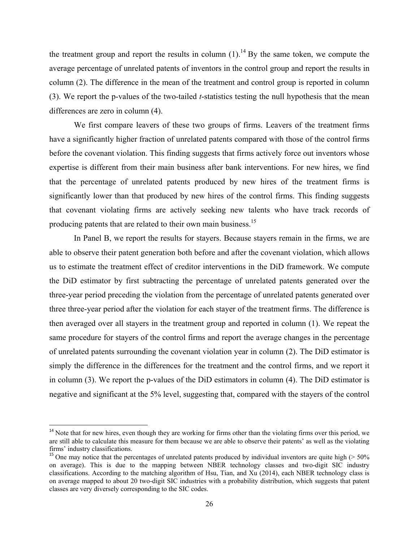the treatment group and report the results in column  $(1)$ .<sup>14</sup> By the same token, we compute the average percentage of unrelated patents of inventors in the control group and report the results in column (2). The difference in the mean of the treatment and control group is reported in column (3). We report the p-values of the two-tailed *t*-statistics testing the null hypothesis that the mean differences are zero in column (4).

We first compare leavers of these two groups of firms. Leavers of the treatment firms have a significantly higher fraction of unrelated patents compared with those of the control firms before the covenant violation. This finding suggests that firms actively force out inventors whose expertise is different from their main business after bank interventions. For new hires, we find that the percentage of unrelated patents produced by new hires of the treatment firms is significantly lower than that produced by new hires of the control firms. This finding suggests that covenant violating firms are actively seeking new talents who have track records of producing patents that are related to their own main business.<sup>15</sup>

In Panel B, we report the results for stayers. Because stayers remain in the firms, we are able to observe their patent generation both before and after the covenant violation, which allows us to estimate the treatment effect of creditor interventions in the DiD framework. We compute the DiD estimator by first subtracting the percentage of unrelated patents generated over the three-year period preceding the violation from the percentage of unrelated patents generated over three three-year period after the violation for each stayer of the treatment firms. The difference is then averaged over all stayers in the treatment group and reported in column (1). We repeat the same procedure for stayers of the control firms and report the average changes in the percentage of unrelated patents surrounding the covenant violation year in column (2). The DiD estimator is simply the difference in the differences for the treatment and the control firms, and we report it in column (3). We report the p-values of the DiD estimators in column (4). The DiD estimator is negative and significant at the 5% level, suggesting that, compared with the stayers of the control

 $14$  Note that for new hires, even though they are working for firms other than the violating firms over this period, we are still able to calculate this measure for them because we are able to observe their patents' as well as the violating firms' industry classifications.

<sup>&</sup>lt;sup>15</sup> One may notice that the percentages of unrelated patents produced by individual inventors are quite high ( $> 50\%$ ) on average). This is due to the mapping between NBER technology classes and two-digit SIC industry classifications. According to the matching algorithm of Hsu, Tian, and Xu (2014), each NBER technology class is on average mapped to about 20 two-digit SIC industries with a probability distribution, which suggests that patent classes are very diversely corresponding to the SIC codes.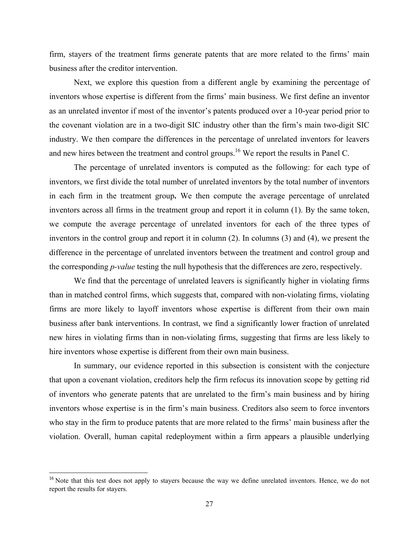firm, stayers of the treatment firms generate patents that are more related to the firms' main business after the creditor intervention.

Next, we explore this question from a different angle by examining the percentage of inventors whose expertise is different from the firms' main business. We first define an inventor as an unrelated inventor if most of the inventor's patents produced over a 10-year period prior to the covenant violation are in a two-digit SIC industry other than the firm's main two-digit SIC industry. We then compare the differences in the percentage of unrelated inventors for leavers and new hires between the treatment and control groups.<sup>16</sup> We report the results in Panel C.

The percentage of unrelated inventors is computed as the following: for each type of inventors, we first divide the total number of unrelated inventors by the total number of inventors in each firm in the treatment group**.** We then compute the average percentage of unrelated inventors across all firms in the treatment group and report it in column (1). By the same token, we compute the average percentage of unrelated inventors for each of the three types of inventors in the control group and report it in column (2). In columns (3) and (4), we present the difference in the percentage of unrelated inventors between the treatment and control group and the corresponding *p-value* testing the null hypothesis that the differences are zero, respectively.

We find that the percentage of unrelated leavers is significantly higher in violating firms than in matched control firms, which suggests that, compared with non-violating firms, violating firms are more likely to layoff inventors whose expertise is different from their own main business after bank interventions. In contrast, we find a significantly lower fraction of unrelated new hires in violating firms than in non-violating firms, suggesting that firms are less likely to hire inventors whose expertise is different from their own main business.

In summary, our evidence reported in this subsection is consistent with the conjecture that upon a covenant violation, creditors help the firm refocus its innovation scope by getting rid of inventors who generate patents that are unrelated to the firm's main business and by hiring inventors whose expertise is in the firm's main business. Creditors also seem to force inventors who stay in the firm to produce patents that are more related to the firms' main business after the violation. Overall, human capital redeployment within a firm appears a plausible underlying

<sup>&</sup>lt;sup>16</sup> Note that this test does not apply to stayers because the way we define unrelated inventors. Hence, we do not report the results for stayers.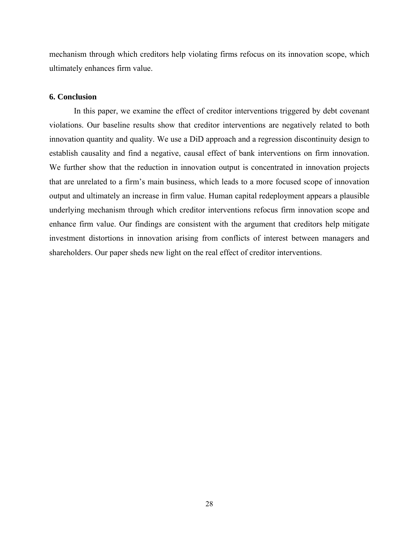mechanism through which creditors help violating firms refocus on its innovation scope, which ultimately enhances firm value.

#### **6. Conclusion**

In this paper, we examine the effect of creditor interventions triggered by debt covenant violations. Our baseline results show that creditor interventions are negatively related to both innovation quantity and quality. We use a DiD approach and a regression discontinuity design to establish causality and find a negative, causal effect of bank interventions on firm innovation. We further show that the reduction in innovation output is concentrated in innovation projects that are unrelated to a firm's main business, which leads to a more focused scope of innovation output and ultimately an increase in firm value. Human capital redeployment appears a plausible underlying mechanism through which creditor interventions refocus firm innovation scope and enhance firm value. Our findings are consistent with the argument that creditors help mitigate investment distortions in innovation arising from conflicts of interest between managers and shareholders. Our paper sheds new light on the real effect of creditor interventions.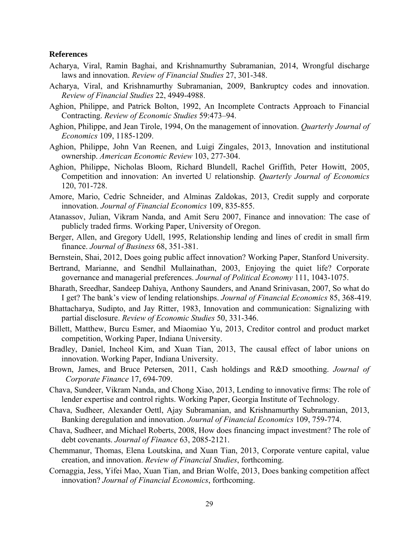#### **References**

- Acharya, Viral, Ramin Baghai, and Krishnamurthy Subramanian, 2014, Wrongful discharge laws and innovation. *Review of Financial Studies* 27, 301-348.
- Acharya, Viral, and Krishnamurthy Subramanian, 2009, Bankruptcy codes and innovation. *Review of Financial Studies* 22, 4949-4988.
- Aghion, Philippe, and Patrick Bolton, 1992, An Incomplete Contracts Approach to Financial Contracting. *Review of Economic Studies* 59:473–94.
- Aghion, Philippe, and Jean Tirole, 1994, On the management of innovation. *Quarterly Journal of Economics* 109, 1185-1209.
- Aghion, Philippe, John Van Reenen, and Luigi Zingales, 2013, Innovation and institutional ownership. *American Economic Review* 103, 277-304.
- Aghion, Philippe, Nicholas Bloom, Richard Blundell, Rachel Griffith, Peter Howitt, 2005, Competition and innovation: An inverted U relationship. *Quarterly Journal of Economics* 120, 701-728.
- Amore, Mario, Cedric Schneider, and Alminas Zaldokas, 2013, Credit supply and corporate innovation. *Journal of Financial Economics* 109, 835-855.
- Atanassov, Julian, Vikram Nanda, and Amit Seru 2007, Finance and innovation: The case of publicly traded firms. Working Paper, University of Oregon.
- Berger, Allen, and Gregory Udell, 1995, Relationship lending and lines of credit in small firm finance. *Journal of Business* 68, 351-381.
- Bernstein, Shai, 2012, Does going public affect innovation? Working Paper, Stanford University.
- Bertrand, Marianne, and Sendhil Mullainathan, 2003, Enjoying the quiet life? Corporate governance and managerial preferences. *Journal of Political Economy* 111, 1043-1075.
- Bharath, Sreedhar, Sandeep Dahiya, Anthony Saunders, and Anand Srinivasan, 2007, So what do I get? The bank's view of lending relationships. *Journal of Financial Economics* 85, 368-419.
- Bhattacharya, Sudipto, and Jay Ritter, 1983, Innovation and communication: Signalizing with partial disclosure. *Review of Economic Studies* 50, 331-346.
- Billett, Matthew, Burcu Esmer, and Miaomiao Yu, 2013, Creditor control and product market competition, Working Paper, Indiana University.
- Bradley, Daniel, Incheol Kim, and Xuan Tian, 2013, The causal effect of labor unions on innovation. Working Paper, Indiana University.
- Brown, James, and Bruce Petersen, 2011, Cash holdings and R&D smoothing. *Journal of Corporate Finance* 17, 694-709.
- Chava, Sundeer, Vikram Nanda, and Chong Xiao, 2013, Lending to innovative firms: The role of lender expertise and control rights. Working Paper, Georgia Institute of Technology.
- Chava, Sudheer, Alexander Oettl, Ajay Subramanian, and Krishnamurthy Subramanian, 2013, Banking deregulation and innovation. *Journal of Financial Economics* 109, 759-774.
- Chava, Sudheer, and Michael Roberts, 2008, How does financing impact investment? The role of debt covenants. *Journal of Finance* 63, 2085-2121.
- Chemmanur, Thomas, Elena Loutskina, and Xuan Tian, 2013, Corporate venture capital, value creation, and innovation. *Review of Financial Studies*, forthcoming.
- Cornaggia, Jess, Yifei Mao, Xuan Tian, and Brian Wolfe, 2013, Does banking competition affect innovation? *Journal of Financial Economics*, forthcoming.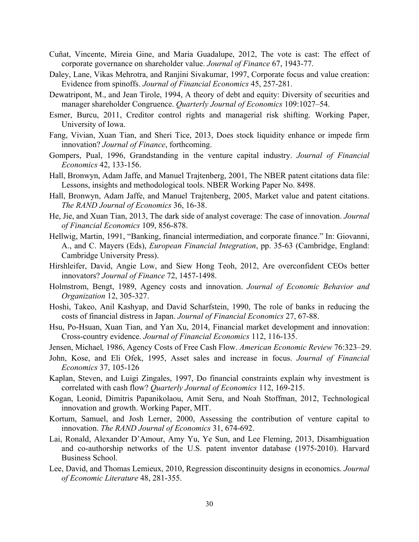- Cuñat, Vincente, Mireia Gine, and Maria Guadalupe, 2012, The vote is cast: The effect of corporate governance on shareholder value. *Journal of Finance* 67, 1943-77.
- Daley, Lane, Vikas Mehrotra, and Ranjini Sivakumar, 1997, Corporate focus and value creation: Evidence from spinoffs. *Journal of Financial Economics* 45, 257-281.
- Dewatripont, M., and Jean Tirole, 1994, A theory of debt and equity: Diversity of securities and manager shareholder Congruence. *Quarterly Journal of Economics* 109:1027–54.
- Esmer, Burcu, 2011, Creditor control rights and managerial risk shifting. Working Paper, University of Iowa.
- Fang, Vivian, Xuan Tian, and Sheri Tice, 2013, Does stock liquidity enhance or impede firm innovation? *Journal of Finance*, forthcoming.
- Gompers, Pual, 1996, Grandstanding in the venture capital industry. *Journal of Financial Economics* 42, 133-156.
- Hall, Bronwyn, Adam Jaffe, and Manuel Trajtenberg, 2001, The NBER patent citations data file: Lessons, insights and methodological tools. NBER Working Paper No. 8498.
- Hall, Bronwyn, Adam Jaffe, and Manuel Trajtenberg, 2005, Market value and patent citations. *The RAND Journal of Economics* 36, 16-38.
- He, Jie, and Xuan Tian, 2013, The dark side of analyst coverage: The case of innovation. *Journal of Financial Economics* 109, 856-878.
- Hellwig, Martin, 1991, "Banking, financial intermediation, and corporate finance." In: Giovanni, A., and C. Mayers (Eds), *European Financial Integration*, pp. 35-63 (Cambridge, England: Cambridge University Press).
- Hirshleifer, David, Angie Low, and Siew Hong Teoh, 2012, Are overconfident CEOs better innovators? *Journal of Finance* 72, 1457-1498.
- Holmstrom, Bengt, 1989, Agency costs and innovation. *Journal of Economic Behavior and Organization* 12, 305-327.
- Hoshi, Takeo, Anil Kashyap, and David Scharfstein, 1990, The role of banks in reducing the costs of financial distress in Japan. *Journal of Financial Economics* 27, 67-88.
- Hsu, Po-Hsuan, Xuan Tian, and Yan Xu, 2014, Financial market development and innovation: Cross-country evidence. *Journal of Financial Economics* 112, 116-135.
- Jensen, Michael*,* 1986, Agency Costs of Free Cash Flow. *American Economic Review* 76:323–29.
- John, Kose, and Eli Ofek, 1995, Asset sales and increase in focus. *Journal of Financial Economics* 37, 105-126
- Kaplan, Steven, and Luigi Zingales, 1997, Do financial constraints explain why investment is correlated with cash flow? *Quarterly Journal of Economics* 112, 169-215.
- Kogan, Leonid, Dimitris Papanikolaou, Amit Seru, and Noah Stoffman, 2012, Technological innovation and growth. Working Paper, MIT.
- Kortum, Samuel, and Josh Lerner, 2000, Assessing the contribution of venture capital to innovation. *The RAND Journal of Economics* 31, 674-692.
- Lai, Ronald, Alexander D'Amour, Amy Yu, Ye Sun, and Lee Fleming, 2013, Disambiguation and co-authorship networks of the U.S. patent inventor database (1975-2010). Harvard Business School.
- Lee, David, and Thomas Lemieux, 2010, Regression discontinuity designs in economics. *Journal of Economic Literature* 48, 281-355.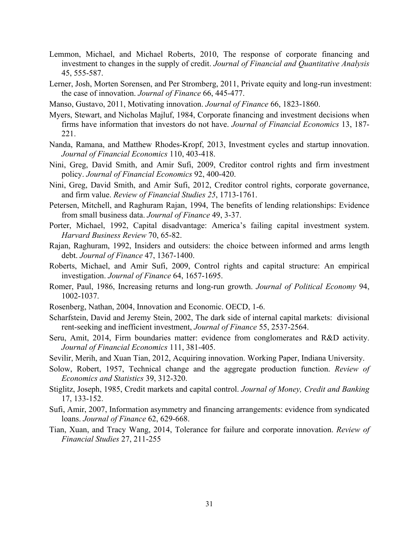- Lemmon, Michael, and Michael Roberts, 2010, The response of corporate financing and investment to changes in the supply of credit. *Journal of Financial and Quantitative Analysis* 45, 555-587.
- Lerner, Josh, Morten Sorensen, and Per Stromberg, 2011, Private equity and long-run investment: the case of innovation. *Journal of Finance* 66, 445-477.
- Manso, Gustavo, 2011, Motivating innovation. *Journal of Finance* 66, 1823-1860.
- Myers, Stewart, and Nicholas Majluf, 1984, Corporate financing and investment decisions when firms have information that investors do not have. *Journal of Financial Economics* 13, 187- 221.
- Nanda, Ramana, and Matthew Rhodes-Kropf, 2013, Investment cycles and startup innovation. *Journal of Financial Economics* 110, 403-418.
- Nini, Greg, David Smith, and Amir Sufi, 2009, Creditor control rights and firm investment policy. *Journal of Financial Economics* 92, 400-420.
- Nini, Greg, David Smith, and Amir Sufi, 2012, Creditor control rights, corporate governance, and firm value. *Review of Financial Studies 25*, 1713-1761.
- Petersen, Mitchell, and Raghuram Rajan, 1994, The benefits of lending relationships: Evidence from small business data. *Journal of Finance* 49, 3-37.
- Porter, Michael, 1992, Capital disadvantage: America's failing capital investment system. *Harvard Business Review* 70, 65-82.
- Rajan, Raghuram, 1992, Insiders and outsiders: the choice between informed and arms length debt. *Journal of Finance* 47, 1367-1400.
- Roberts, Michael, and Amir Sufi, 2009, Control rights and capital structure: An empirical investigation. *Journal of Finance* 64, 1657-1695.
- Romer, Paul, 1986, Increasing returns and long-run growth. *Journal of Political Economy* 94, 1002-1037.
- Rosenberg, Nathan, 2004, Innovation and Economic. OECD, 1-6.
- Scharfstein, David and Jeremy Stein, 2002, The dark side of internal capital markets: divisional rent-seeking and inefficient investment, *Journal of Finance* 55, 2537-2564.
- Seru, Amit, 2014, Firm boundaries matter: evidence from conglomerates and R&D activity. *Journal of Financial Economics* 111, 381-405.
- Sevilir, Merih, and Xuan Tian, 2012, Acquiring innovation. Working Paper, Indiana University.
- Solow, Robert, 1957, Technical change and the aggregate production function. *Review of Economics and Statistics* 39, 312-320.
- Stiglitz, Joseph, 1985, Credit markets and capital control. *Journal of Money, Credit and Banking* 17, 133-152.
- Sufi, Amir, 2007, Information asymmetry and financing arrangements: evidence from syndicated loans. *Journal of Finance* 62, 629-668.
- Tian, Xuan, and Tracy Wang, 2014, Tolerance for failure and corporate innovation. *Review of Financial Studies* 27, 211-255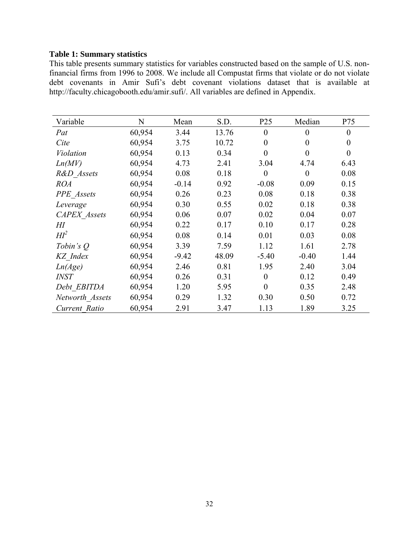#### **Table 1: Summary statistics**

This table presents summary statistics for variables constructed based on the sample of U.S. nonfinancial firms from 1996 to 2008. We include all Compustat firms that violate or do not violate debt covenants in Amir Sufi's debt covenant violations dataset that is available at http://faculty.chicagobooth.edu/amir.sufi/. All variables are defined in Appendix.

| Variable            | N      | Mean    | S.D.  | P <sub>25</sub>  | Median   | P75      |
|---------------------|--------|---------|-------|------------------|----------|----------|
| Pat                 | 60,954 | 3.44    | 13.76 | $\theta$         | $\theta$ | $\theta$ |
| Cite                | 60,954 | 3.75    | 10.72 | $\overline{0}$   | $\theta$ | $\theta$ |
| Violation           | 60,954 | 0.13    | 0.34  | $\overline{0}$   | $\theta$ | $\theta$ |
| Ln(MV)              | 60,954 | 4.73    | 2.41  | 3.04             | 4.74     | 6.43     |
| R&D Assets          | 60,954 | 0.08    | 0.18  | $\boldsymbol{0}$ | $\theta$ | 0.08     |
| <b>ROA</b>          | 60,954 | $-0.14$ | 0.92  | $-0.08$          | 0.09     | 0.15     |
| <b>PPE</b> Assets   | 60,954 | 0.26    | 0.23  | 0.08             | 0.18     | 0.38     |
| Leverage            | 60,954 | 0.30    | 0.55  | 0.02             | 0.18     | 0.38     |
| <b>CAPEX</b> Assets | 60,954 | 0.06    | 0.07  | 0.02             | 0.04     | 0.07     |
| $H\!I$              | 60,954 | 0.22    | 0.17  | 0.10             | 0.17     | 0.28     |
| $H\!I^2$            | 60,954 | 0.08    | 0.14  | 0.01             | 0.03     | 0.08     |
| Tobin's $Q$         | 60,954 | 3.39    | 7.59  | 1.12             | 1.61     | 2.78     |
| KZ Index            | 60,954 | $-9.42$ | 48.09 | $-5.40$          | $-0.40$  | 1.44     |
| Ln(Age)             | 60,954 | 2.46    | 0.81  | 1.95             | 2.40     | 3.04     |
| <i>INST</i>         | 60,954 | 0.26    | 0.31  | $\theta$         | 0.12     | 0.49     |
| Debt EBITDA         | 60,954 | 1.20    | 5.95  | $\theta$         | 0.35     | 2.48     |
| Networth Assets     | 60,954 | 0.29    | 1.32  | 0.30             | 0.50     | 0.72     |
| Current Ratio       | 60,954 | 2.91    | 3.47  | 1.13             | 1.89     | 3.25     |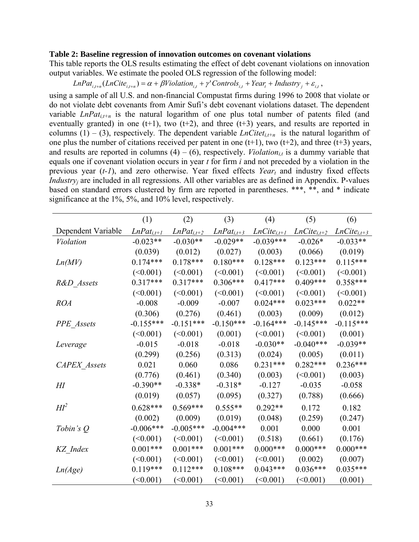#### **Table 2: Baseline regression of innovation outcomes on covenant violations**

This table reports the OLS results estimating the effect of debt covenant violations on innovation output variables. We estimate the pooled OLS regression of the following model:

 $LnPat_{i,t+n}(LnCite_{i,t+n}) = \alpha + \beta Violation_{i,t} + \gamma' Controls_{i,t} + Year_t + Industry_i + \varepsilon_{i,t}$ 

using a sample of all U.S. and non-financial Compustat firms during 1996 to 2008 that violate or do not violate debt covenants from Amir Sufi's debt covenant violations dataset. The dependent variable  $LnPat_{i,t+n}$  is the natural logarithm of one plus total number of patents filed (and eventually granted) in one  $(t+1)$ , two  $(t+2)$ , and three  $(t+3)$  years, and results are reported in columns (1) – (3), respectively. The dependent variable *LnCitet<sub>it+n</sub>* is the natural logarithm of one plus the number of citations received per patent in one  $(t+1)$ , two  $(t+2)$ , and three  $(t+3)$  years, and results are reported in columns  $(4) - (6)$ , respectively. *Violation<sub>it</sub>* is a dummy variable that equals one if covenant violation occurs in year *t* for firm *i* and not preceded by a violation in the previous year (*t-1*), and zero otherwise. Year fixed effects *Year<sub>t</sub>* and industry fixed effects *Industry<sub>j</sub>* are included in all regressions. All other variables are as defined in Appendix. P-values based on standard errors clustered by firm are reported in parentheses. \*\*\*, \*\*, and \* indicate significance at the 1%, 5%, and 10% level, respectively.

|                     | (1)             | (2)             | (3)             | (4)              | (5)              | (6)              |
|---------------------|-----------------|-----------------|-----------------|------------------|------------------|------------------|
| Dependent Variable  | $LnPat_{i,t+1}$ | $LnPat_{i,t+2}$ | $LnPat_{i,t+3}$ | $LnCite_{i,t+1}$ | $LnCite_{i,t+2}$ | $LnCite_{i,t+3}$ |
| <b>Violation</b>    | $-0.023**$      | $-0.030**$      | $-0.029**$      | $-0.039***$      | $-0.026*$        | $-0.033**$       |
|                     | (0.039)         | (0.012)         | (0.027)         | (0.003)          | (0.066)          | (0.019)          |
| Ln(MV)              | $0.174***$      | $0.178***$      | $0.180***$      | $0.128***$       | $0.123***$       | $0.115***$       |
|                     | (<0.001)        | (<0.001)        | (<0.001)        | (<0.001)         | (<0.001)         | (<0.001)         |
| R&D Assets          | $0.317***$      | $0.317***$      | $0.306***$      | $0.417***$       | $0.409***$       | $0.358***$       |
|                     | (<0.001)        | (<0.001)        | (<0.001)        | (<0.001)         | (<0.001)         | (<0.001)         |
| <b>ROA</b>          | $-0.008$        | $-0.009$        | $-0.007$        | $0.024***$       | $0.023***$       | $0.022**$        |
|                     | (0.306)         | (0.276)         | (0.461)         | (0.003)          | (0.009)          | (0.012)          |
| PPE Assets          | $-0.155***$     | $-0.151***$     | $-0.150***$     | $-0.164***$      | $-0.145***$      | $-0.115***$      |
|                     | (<0.001)        | (<0.001)        | (0.001)         | (<0.001)         | (<0.001)         | (0.001)          |
| Leverage            | $-0.015$        | $-0.018$        | $-0.018$        | $-0.030**$       | $-0.040***$      | $-0.039**$       |
|                     | (0.299)         | (0.256)         | (0.313)         | (0.024)          | (0.005)          | (0.011)          |
| <b>CAPEX</b> Assets | 0.021           | 0.060           | 0.086           | $0.231***$       | $0.282***$       | $0.236***$       |
|                     | (0.776)         | (0.461)         | (0.340)         | (0.003)          | (<0.001)         | (0.003)          |
| $H\!I$              | $-0.390**$      | $-0.338*$       | $-0.318*$       | $-0.127$         | $-0.035$         | $-0.058$         |
|                     | (0.019)         | (0.057)         | (0.095)         | (0.327)          | (0.788)          | (0.666)          |
| $Hl^2$              | $0.628***$      | $0.569***$      | $0.555**$       | $0.292**$        | 0.172            | 0.182            |
|                     | (0.002)         | (0.009)         | (0.019)         | (0.048)          | (0.259)          | (0.247)          |
| Tobin's $Q$         | $-0.006***$     | $-0.005***$     | $-0.004***$     | 0.001            | 0.000            | 0.001            |
|                     | (<0.001)        | (<0.001)        | (<0.001)        | (0.518)          | (0.661)          | (0.176)          |
| KZ_Index            | $0.001***$      | $0.001***$      | $0.001***$      | $0.000***$       | $0.000***$       | $0.000***$       |
|                     | (<0.001)        | (<0.001)        | (<0.001)        | (<0.001)         | (0.002)          | (0.007)          |
| Ln(Age)             | $0.119***$      | $0.112***$      | $0.108***$      | $0.043***$       | $0.036***$       | $0.035***$       |
|                     | (<0.001)        | (<0.001)        | (<0.001)        | (<0.001)         | (<0.001)         | (0.001)          |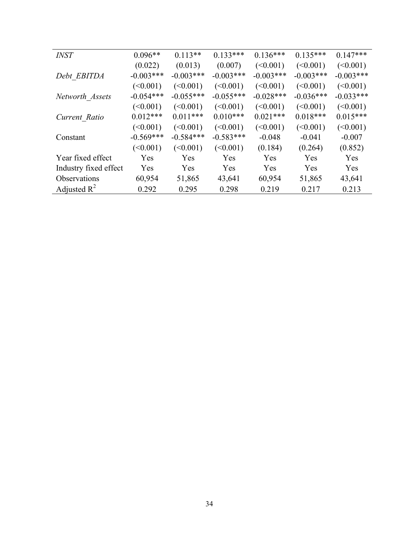| <b>INST</b>           | $0.096**$   | $0.113**$   | $0.133***$  | $0.136***$  | $0.135***$  | $0.147***$  |
|-----------------------|-------------|-------------|-------------|-------------|-------------|-------------|
|                       | (0.022)     | (0.013)     | (0.007)     | (<0.001)    | (<0.001)    | (<0.001)    |
| Debt EBITDA           | $-0.003***$ | $-0.003***$ | $-0.003***$ | $-0.003***$ | $-0.003***$ | $-0.003***$ |
|                       | (<0.001)    | (<0.001)    | (<0.001)    | (<0.001)    | (<0.001)    | (<0.001)    |
| Networth Assets       | $-0.054***$ | $-0.055***$ | $-0.055***$ | $-0.028***$ | $-0.036***$ | $-0.033***$ |
|                       | (<0.001)    | (<0.001)    | (<0.001)    | (<0.001)    | (<0.001)    | (<0.001)    |
| Current Ratio         | $0.012***$  | $0.011***$  | $0.010***$  | $0.021***$  | $0.018***$  | $0.015***$  |
|                       | (<0.001)    | (<0.001)    | (<0.001)    | (<0.001)    | (<0.001)    | (<0.001)    |
| Constant              | $-0.569***$ | $-0.584***$ | $-0.583***$ | $-0.048$    | $-0.041$    | $-0.007$    |
|                       | (<0.001)    | (<0.001)    | (<0.001)    | (0.184)     | (0.264)     | (0.852)     |
| Year fixed effect     | Yes         | Yes         | Yes         | Yes         | Yes         | Yes         |
| Industry fixed effect | Yes         | Yes         | Yes         | Yes         | Yes         | Yes         |
| Observations          | 60,954      | 51,865      | 43,641      | 60,954      | 51,865      | 43,641      |
| Adjusted $R^2$        | 0.292       | 0.295       | 0.298       | 0.219       | 0.217       | 0.213       |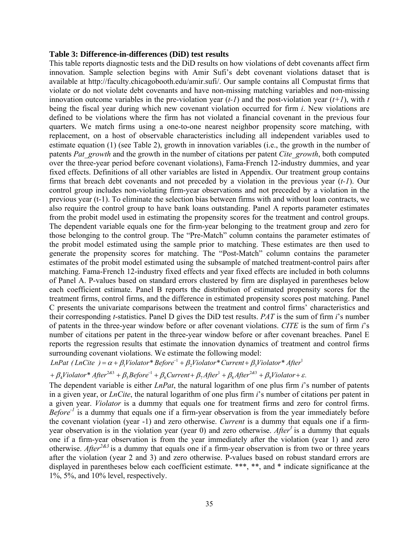#### **Table 3: Difference-in-differences (DiD) test results**

This table reports diagnostic tests and the DiD results on how violations of debt covenants affect firm innovation. Sample selection begins with Amir Sufi's debt covenant violations dataset that is available at http://faculty.chicagobooth.edu/amir.sufi/. Our sample contains all Compustat firms that violate or do not violate debt covenants and have non-missing matching variables and non-missing innovation outcome variables in the pre-violation year  $(t-1)$  and the post-violation year  $(t+1)$ , with  $t$ being the fiscal year during which new covenant violation occurred for firm *i*. New violations are defined to be violations where the firm has not violated a financial covenant in the previous four quarters. We match firms using a one-to-one nearest neighbor propensity score matching, with replacement, on a host of observable characteristics including all independent variables used to estimate equation (1) (see Table 2), growth in innovation variables (i.e., the growth in the number of patents *Pat\_growth* and the growth in the number of citations per patent *Cite\_growth*, both computed over the three-year period before covenant violations), Fama-French 12-industry dummies, and year fixed effects. Definitions of all other variables are listed in Appendix. Our treatment group contains firms that breach debt covenants and not preceded by a violation in the previous year (*t-1*). Our control group includes non-violating firm-year observations and not preceded by a violation in the previous year (t-1). To eliminate the selection bias between firms with and without loan contracts, we also require the control group to have bank loans outstanding. Panel A reports parameter estimates from the probit model used in estimating the propensity scores for the treatment and control groups. The dependent variable equals one for the firm-year belonging to the treatment group and zero for those belonging to the control group. The "Pre-Match" column contains the parameter estimates of the probit model estimated using the sample prior to matching. These estimates are then used to generate the propensity scores for matching. The "Post-Match" column contains the parameter estimates of the probit model estimated using the subsample of matched treatment-control pairs after matching. Fama-French 12-industry fixed effects and year fixed effects are included in both columns of Panel A. P-values based on standard errors clustered by firm are displayed in parentheses below each coefficient estimate. Panel B reports the distribution of estimated propensity scores for the treatment firms, control firms, and the difference in estimated propensity scores post matching. Panel C presents the univariate comparisons between the treatment and control firms' characteristics and their corresponding *t*-statistics. Panel D gives the DiD test results. *PAT* is the sum of firm *i*'s number of patents in the three-year window before or after covenant violations. *CITE* is the sum of firm *i*'s number of citations per patent in the three-year window before or after covenant breaches. Panel E reports the regression results that estimate the innovation dynamics of treatment and control firms surrounding covenant violations. We estimate the following model:

*LnPat* (*LnCite* ) =  $\alpha + \beta_1$ *Violator*<sup>\*</sup> *Before*<sup>-1</sup> +  $\beta_2$ *Violator*<sup>\*</sup> *Current* +  $\beta_3$ *Violator*<sup>\*</sup> *After*<sup>1</sup>

 $\beta_4$ Violator\* After<sup>2&3</sup> +  $\beta_5$ Before<sup>-1</sup> +  $\beta_6$ Current+  $\beta_7$ After<sup>1</sup> +  $\beta_8$ After<sup>2&3</sup> +  $\beta_9$ Violator+  $\varepsilon$ .

The dependent variable is either *LnPat*, the natural logarithm of one plus firm *i*'s number of patents in a given year, or *LnCite*, the natural logarithm of one plus firm *i*'s number of citations per patent in a given year. *Violator* is a dummy that equals one for treatment firms and zero for control firms. *Before*<sup>-1</sup> is a dummy that equals one if a firm-year observation is from the year immediately before the covenant violation (year -1) and zero otherwise. *Current* is a dummy that equals one if a firmyear observation is in the violation year (year 0) and zero otherwise. *After<sup>1</sup>*is a dummy that equals one if a firm-year observation is from the year immediately after the violation (year 1) and zero otherwise. *After2&3* is a dummy that equals one if a firm-year observation is from two or three years after the violation (year 2 and 3) and zero otherwise. P-values based on robust standard errors are displayed in parentheses below each coefficient estimate. \*\*\*, \*\*, and \* indicate significance at the 1%, 5%, and 10% level, respectively.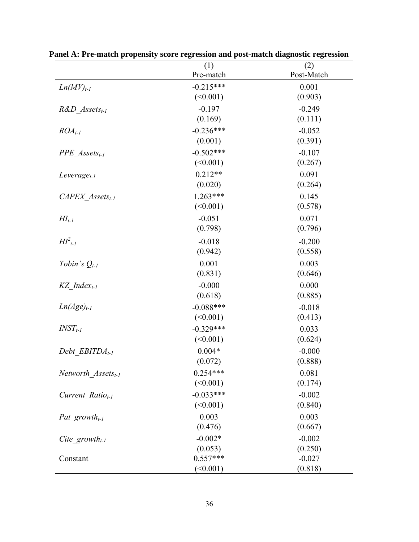|                               | (1)         | (2)        |
|-------------------------------|-------------|------------|
|                               | Pre-match   | Post-Match |
| $Ln(MV)_{t-1}$                | $-0.215***$ | 0.001      |
|                               | (<0.001)    | (0.903)    |
| $R&D$ Assets <sub>t-1</sub>   | $-0.197$    | $-0.249$   |
|                               | (0.169)     | (0.111)    |
| $ROA_{t-1}$                   | $-0.236***$ | $-0.052$   |
|                               | (0.001)     | (0.391)    |
| $PPE$ Assets <sub>t-1</sub>   | $-0.502***$ | $-0.107$   |
|                               | (<0.001)    | (0.267)    |
| Leverage <sub>t-1</sub>       | $0.212**$   | 0.091      |
|                               | (0.020)     | (0.264)    |
| $CAPEX$ Assets <sub>t-1</sub> | $1.263***$  | 0.145      |
|                               | (<0.001)    | (0.578)    |
| $H I_{t-1}$                   | $-0.051$    | 0.071      |
|                               | (0.798)     | (0.796)    |
| $H\llbracket_{t-l}^2$         | $-0.018$    | $-0.200$   |
|                               | (0.942)     | (0.558)    |
| Tobin's $Q_{t-1}$             | 0.001       | 0.003      |
|                               | (0.831)     | (0.646)    |
| $KZ$ Index <sub>t-1</sub>     | $-0.000$    | 0.000      |
|                               | (0.618)     | (0.885)    |
| $Ln(Age)_{t-1}$               | $-0.088***$ | $-0.018$   |
|                               | (<0.001)    | (0.413)    |
| $INST_{t-1}$                  | $-0.329***$ | 0.033      |
|                               | (<0.001)    | (0.624)    |
| Debt $EBITDA_{t-1}$           | $0.004*$    | $-0.000$   |
|                               | (0.072)     | (0.888)    |
| Networth $Assets_{t-1}$       | $0.254***$  | 0.081      |
|                               | (<0.001)    | (0.174)    |
| Current Ratio <sub>t-1</sub>  | $-0.033***$ | $-0.002$   |
|                               | (<0.001)    | (0.840)    |
| Pat growth <sub>t-1</sub>     | 0.003       | 0.003      |
|                               | (0.476)     | (0.667)    |
| Cite growth <sub>t-1</sub>    | $-0.002*$   | $-0.002$   |
|                               | (0.053)     | (0.250)    |
| Constant                      | $0.557***$  | $-0.027$   |
|                               | $($ <0.001) | (0.818)    |

**Panel A: Pre-match propensity score regression and post-match diagnostic regression**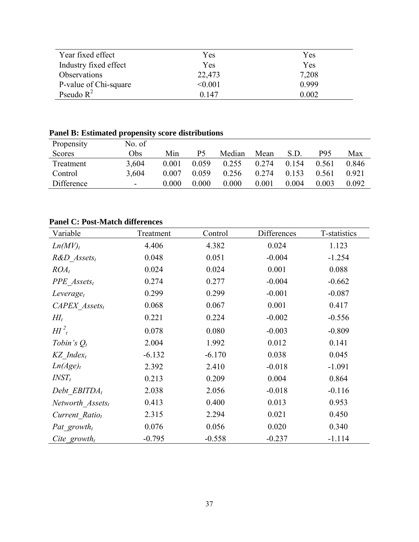| Year fixed effect     | Yes     | Yes   |
|-----------------------|---------|-------|
| Industry fixed effect | Yes     | Yes   |
| Observations          | 22,473  | 7,208 |
| P-value of Chi-square | < 0.001 | 0.999 |
| Pseudo $R^2$          | 0.147   | 0.002 |

## **Panel B: Estimated propensity score distributions**

| Propensity    | No. of                   |       |       |        |       |       |       |         |
|---------------|--------------------------|-------|-------|--------|-------|-------|-------|---------|
| <b>Scores</b> | Obs                      | Min   | Р5    | Median | Mean  | S.D   | P95   | Max     |
| Treatment     | 3,604                    | 0.001 | 0.059 | 0.255  | 0.274 | 0.154 | 0.561 | 0.846   |
| Control       | 3.604                    | 0.007 | 0.059 | 0.256  | 0.274 | 0.153 | 0.561 | 0.921   |
| Difference    | $\overline{\phantom{a}}$ | 0.000 | 0.000 | 0.000  | 0.001 | 0.004 | 0.003 | 0 0 9 2 |

## **Panel C: Post-Match differences**

| Variable                    | Treatment | Control  | Differences | T-statistics |
|-----------------------------|-----------|----------|-------------|--------------|
| Ln(MV) <sub>t</sub>         | 4.406     | 4.382    | 0.024       | 1.123        |
| $R&D$ Assets <sub>t</sub>   | 0.048     | 0.051    | $-0.004$    | $-1.254$     |
| $ROA_t$                     | 0.024     | 0.024    | 0.001       | 0.088        |
| $PPE$ Assets <sub>t</sub>   | 0.274     | 0.277    | $-0.004$    | $-0.662$     |
| $Leverage_t$                | 0.299     | 0.299    | $-0.001$    | $-0.087$     |
| $CAPEX$ Assets <sub>t</sub> | 0.068     | 0.067    | 0.001       | 0.417        |
| $H\!I_t$                    | 0.221     | 0.224    | $-0.002$    | $-0.556$     |
| $H\int_{t}^{2}$             | 0.078     | 0.080    | $-0.003$    | $-0.809$     |
| Tobin's $Q_t$               | 2.004     | 1.992    | 0.012       | 0.141        |
| $KZ$ Index <sub>t</sub>     | $-6.132$  | $-6.170$ | 0.038       | 0.045        |
| Ln(Age) <sub>t</sub>        | 2.392     | 2.410    | $-0.018$    | $-1.091$     |
| $INST_t$                    | 0.213     | 0.209    | 0.004       | 0.864        |
| Debt EBITDA <sub>t</sub>    | 2.038     | 2.056    | $-0.018$    | $-0.116$     |
| Networth $Assets_t$         | 0.413     | 0.400    | 0.013       | 0.953        |
| Current Ratio <sub>t</sub>  | 2.315     | 2.294    | 0.021       | 0.450        |
| Pat growth <sub>t</sub>     | 0.076     | 0.056    | 0.020       | 0.340        |
| Cite growth                 | $-0.795$  | $-0.558$ | $-0.237$    | $-1.114$     |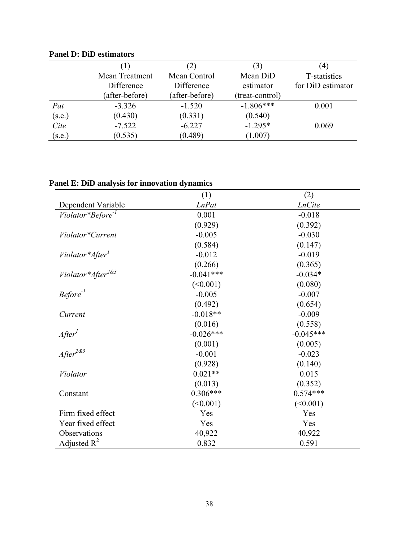|        |                |                | 3               | (4)               |
|--------|----------------|----------------|-----------------|-------------------|
|        | Mean Treatment | Mean Control   | Mean DiD        | T-statistics      |
|        | Difference     | Difference     | estimator       | for DiD estimator |
|        | (after-before) | (after-before) | (treat-control) |                   |
| Pat    | $-3.326$       | $-1.520$       | $-1.806***$     | 0.001             |
| (s.e.) | (0.430)        | (0.331)        | (0.540)         |                   |
| Cite   | $-7.522$       | $-6.227$       | $-1.295*$       | 0.069             |
| (s.e.) | (0.535)        | (0.489)        | (1.007)         |                   |

## **Panel D: DiD estimators**

| Panel E: DiD analysis for innovation dynamics |  |  |
|-----------------------------------------------|--|--|
|                                               |  |  |

|                                   | (1)          | (2)           |
|-----------------------------------|--------------|---------------|
| Dependent Variable                | <b>LnPat</b> | <b>LnCite</b> |
| Violator*Before <sup>-1</sup>     | 0.001        | $-0.018$      |
|                                   | (0.929)      | (0.392)       |
| Violator*Current                  | $-0.005$     | $-0.030$      |
|                                   | (0.584)      | (0.147)       |
| Violator*After <sup>1</sup>       | $-0.012$     | $-0.019$      |
|                                   | (0.266)      | (0.365)       |
| Violator*After <sup>2&amp;3</sup> | $-0.041***$  | $-0.034*$     |
|                                   | (<0.001)     | (0.080)       |
| $Before^{-1}$                     | $-0.005$     | $-0.007$      |
|                                   | (0.492)      | (0.654)       |
| Current                           | $-0.018**$   | $-0.009$      |
|                                   | (0.016)      | (0.558)       |
| After <sup>1</sup>                | $-0.026***$  | $-0.045***$   |
|                                   | (0.001)      | (0.005)       |
| $After^{2d3}$                     | $-0.001$     | $-0.023$      |
|                                   | (0.928)      | (0.140)       |
| Violator                          | $0.021**$    | 0.015         |
|                                   | (0.013)      | (0.352)       |
| Constant                          | $0.306***$   | $0.574***$    |
|                                   | (<0.001)     | (<0.001)      |
| Firm fixed effect                 | Yes          | Yes           |
| Year fixed effect                 | Yes          | Yes           |
| Observations                      | 40,922       | 40,922        |
| Adjusted $R^2$                    | 0.832        | 0.591         |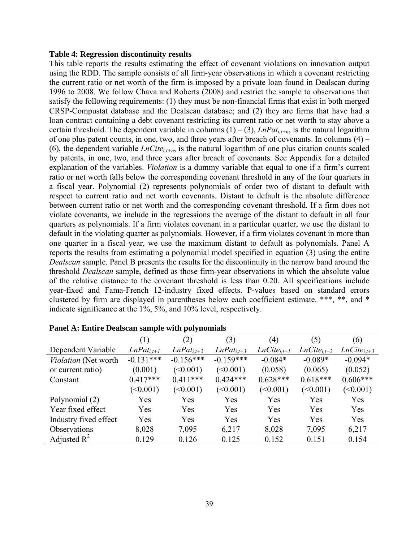#### **Table 4: Regression discontinuity results**

This table reports the results estimating the effect of covenant violations on innovation output using the RDD. The sample consists of all firm-year observations in which a covenant restricting the current ratio or net worth of the firm is imposed by a private loan found in Dealscan during 1996 to 2008. We follow Chava and Roberts (2008) and restrict the sample to observations that satisfy the following requirements: (1) they must be non-financial firms that exist in both merged CRSP-Compustat database and the Dealscan database; and (2) they are firms that have had a loan contract containing a debt covenant restricting its current ratio or net worth to stay above a certain threshold. The dependent variable in columns  $(1) - (3)$ , *LnPat<sub>i,t+n</sub>*, is the natural logarithm of one plus patent counts, in one, two, and three years after breach of covenants. In columns (4) – (6), the dependent variable  $LnCite_{i,t+n}$ , is the natural logarithm of one plus citation counts scaled by patents, in one, two, and three years after breach of covenants. See Appendix for a detailed explanation of the variables. *Violation* is a dummy variable that equal to one if a firm's current ratio or net worth falls below the corresponding covenant threshold in any of the four quarters in a fiscal year. Polynomial (2) represents polynomials of order two of distant to default with respect to current ratio and net worth covenants. Distant to default is the absolute difference between current ratio or net worth and the corresponding covenant threshold. If a firm does not violate covenants, we include in the regressions the average of the distant to default in all four quarters as polynomials. If a firm violates covenant in a particular quarter, we use the distant to default in the violating quarter as polynomials. However, if a firm violates covenant in more than one quarter in a fiscal year, we use the maximum distant to default as polynomials. Panel A reports the results from estimating a polynomial model specified in equation (3) using the entire *Dealscan* sample. Panel B presents the results for the discontinuity in the narrow band around the threshold *Dealscan* sample, defined as those firm-year observations in which the absolute value of the relative distance to the covenant threshold is less than 0.20. All specifications include year-fixed and Fama-French 12-industry fixed effects. P-values based on standard errors clustered by firm are displayed in parentheses below each coefficient estimate. \*\*\*, \*\*, and \* indicate significance at the 1%, 5%, and 10% level, respectively.

|                       | (1)             | (2)             | (3)             | (4)              | (5)              | (6)              |
|-----------------------|-----------------|-----------------|-----------------|------------------|------------------|------------------|
| Dependent Variable    | $LnPat_{i,t+1}$ | $LnPat_{i,t+2}$ | $LnPat_{i,t+3}$ | $LnCite_{i,t+1}$ | $LnCite_{i,t+2}$ | $LnCite_{i,t+3}$ |
| Violation (Net worth  | $-0.131***$     | $-0.156***$     | $-0.159***$     | $-0.084*$        | $-0.089*$        | $-0.094*$        |
| or current ratio)     | (0.001)         | (<0.001)        | (<0.001)        | (0.058)          | (0.065)          | (0.052)          |
| Constant              | $0.417***$      | $0.411***$      | $0.424***$      | $0.628***$       | $0.618***$       | $0.606***$       |
|                       | (<0.001)        | (<0.001)        | (<0.001)        | (<0.001)         | $\leq 0.001$     | (<0.001)         |
| Polynomial (2)        | Yes             | Yes             | Yes             | Yes              | Yes              | Yes              |
| Year fixed effect     | Yes             | Yes             | Yes             | Yes              | Yes              | Yes              |
| Industry fixed effect | Yes             | Yes             | Yes             | Yes              | Yes              | Yes              |
| Observations          | 8,028           | 7,095           | 6,217           | 8,028            | 7,095            | 6,217            |
| Adjusted $R^2$        | 0.129           | 0.126           | 0.125           | 0.152            | 0.151            | 0.154            |

|  |  |  |  | <b>Panel A: Entire Dealscan sample with polynomials</b> |
|--|--|--|--|---------------------------------------------------------|
|--|--|--|--|---------------------------------------------------------|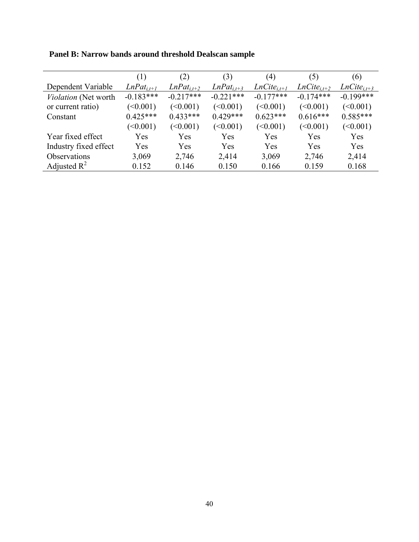|                       | (1)             | (2)             | (3)             | (4)              | (5)              | (6)              |
|-----------------------|-----------------|-----------------|-----------------|------------------|------------------|------------------|
| Dependent Variable    | $LnPat_{i,t+1}$ | $LnPat_{i,t+2}$ | $LnPat_{i,t+3}$ | $LnCite_{i,t+1}$ | $LnCite_{i,t+2}$ | $LnCite_{i,t+3}$ |
| Violation (Net worth  | $-0.183***$     | $-0.217***$     | $-0.221***$     | $-0.177***$      | $-0.174***$      | $-0.199***$      |
| or current ratio)     | (<0.001)        | (<0.001)        | (<0.001)        | (<0.001)         | (<0.001)         | (<0.001)         |
| Constant              | $0.425***$      | $0.433***$      | $0.429***$      | $0.623***$       | $0.616***$       | $0.585***$       |
|                       | (<0.001)        | (<0.001)        | (<0.001)        | (<0.001)         | (<0.001)         | (<0.001)         |
| Year fixed effect     | Yes             | Yes             | Yes             | Yes              | Yes              | Yes              |
| Industry fixed effect | Yes             | Yes             | Yes             | Yes              | Yes              | Yes              |
| Observations          | 3,069           | 2,746           | 2,414           | 3,069            | 2,746            | 2,414            |
| Adjusted $R^2$        | 0.152           | 0.146           | 0.150           | 0.166            | 0.159            | 0.168            |

**Panel B: Narrow bands around threshold Dealscan sample**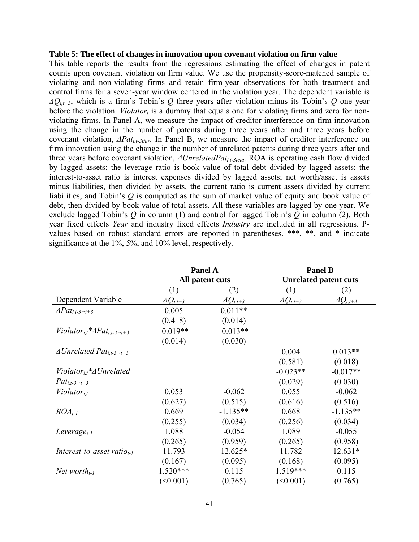#### **Table 5: The effect of changes in innovation upon covenant violation on firm value**

This table reports the results from the regressions estimating the effect of changes in patent counts upon covenant violation on firm value. We use the propensity-score-matched sample of violating and non-violating firms and retain firm-year observations for both treatment and control firms for a seven-year window centered in the violation year. The dependent variable is *ΔQi,t+3*, which is a firm's Tobin's *Q* three years after violation minus its Tobin's *Q* one year before the violation. *Violator<sub>i</sub>* is a dummy that equals one for violating firms and zero for nonviolating firms. In Panel A, we measure the impact of creditor interference on firm innovation using the change in the number of patents during three years after and three years before covenant violation, *ΔPati,t-3ttur*. In Panel B, we measure the impact of creditor interference on firm innovation using the change in the number of unrelated patents during three years after and three years before covenant violation, *ΔUnrelatedPati,t-3tela*. ROA is operating cash flow divided by lagged assets; the leverage ratio is book value of total debt divided by lagged assets; the interest-to-asset ratio is interest expenses divided by lagged assets; net worth/asset is assets minus liabilities, then divided by assets, the current ratio is current assets divided by current liabilities, and Tobin's *Q* is computed as the sum of market value of equity and book value of debt, then divided by book value of total assets. All these variables are lagged by one year. We exclude lagged Tobin's *Q* in column (1) and control for lagged Tobin's *Q* in column (2). Both year fixed effects *Year* and industry fixed effects *Industry* are included in all regressions. Pvalues based on robust standard errors are reported in parentheses. \*\*\*, \*\*, and \* indicate significance at the 1%, 5%, and 10% level, respectively.

|                                                              | <b>Panel A</b><br>All patent cuts |                       | <b>Panel B</b>        |                              |
|--------------------------------------------------------------|-----------------------------------|-----------------------|-----------------------|------------------------------|
|                                                              |                                   |                       |                       | <b>Unrelated patent cuts</b> |
|                                                              | (1)                               | (2)                   | (1)                   | (2)                          |
| Dependent Variable                                           | $\varDelta Q_{i,t+3}$             | $\varDelta Q_{i,t+3}$ | $\varDelta Q_{i,t+3}$ | $\varDelta Q_{i,t+3}$        |
| $\triangle Pat_{i,t-3\rightarrow t+3}$                       | 0.005                             | $0.011**$             |                       |                              |
|                                                              | (0.418)                           | (0.014)               |                       |                              |
| Violator <sub>it</sub> * $\Delta Pat_{i,t-3\rightarrow t+3}$ | $-0.019**$                        | $-0.013**$            |                       |                              |
|                                                              | (0.014)                           | (0.030)               |                       |                              |
| $\triangle Unrelated Pat_{i,t-3\rightarrow t+3}$             |                                   |                       | 0.004                 | $0.013**$                    |
|                                                              |                                   |                       | (0.581)               | (0.018)                      |
| $Violator_{i,t}^* \triangle Unrelated$                       |                                   |                       | $-0.023**$            | $-0.017**$                   |
| $Pat_{i,t-3\rightarrow t+3}$                                 |                                   |                       | (0.029)               | (0.030)                      |
| $Violator_{i,t}$                                             | 0.053                             | $-0.062$              | 0.055                 | $-0.062$                     |
|                                                              | (0.627)                           | (0.515)               | (0.616)               | (0.516)                      |
| $ROA_{t-1}$                                                  | 0.669                             | $-1.135**$            | 0.668                 | $-1.135**$                   |
|                                                              | (0.255)                           | (0.034)               | (0.256)               | (0.034)                      |
| Leverage <sub>t-1</sub>                                      | 1.088                             | $-0.054$              | 1.089                 | $-0.055$                     |
|                                                              | (0.265)                           | (0.959)               | (0.265)               | (0.958)                      |
| Interest-to-asset ratio <sub>t-1</sub>                       | 11.793                            | 12.625*               | 11.782                | $12.631*$                    |
|                                                              | (0.167)                           | (0.095)               | (0.168)               | (0.095)                      |
| Net worth $_{t-1}$                                           | $1.520***$                        | 0.115                 | $1.519***$            | 0.115                        |
|                                                              | (<0.001)                          | (0.765)               | (<0.001)              | (0.765)                      |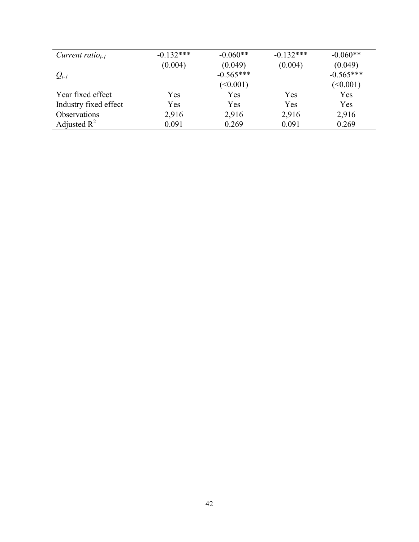| Current ratio <sub>t-1</sub> | $-0.132***$ | $-0.060**$  | $-0.132***$ | $-0.060**$  |
|------------------------------|-------------|-------------|-------------|-------------|
|                              | (0.004)     | (0.049)     | (0.004)     | (0.049)     |
| $Q_{t-1}$                    |             | $-0.565***$ |             | $-0.565***$ |
|                              |             | (<0.001)    |             | (<0.001)    |
| Year fixed effect            | Yes         | Yes         | Yes         | Yes         |
| Industry fixed effect        | Yes         | Yes         | Yes         | Yes         |
| Observations                 | 2,916       | 2,916       | 2,916       | 2,916       |
| Adjusted $R^2$               | 0.091       | 0.269       | 0.091       | 0.269       |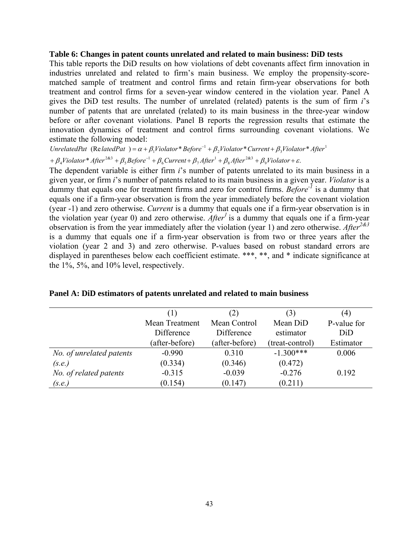#### **Table 6: Changes in patent counts unrelated and related to main business: DiD tests**

This table reports the DiD results on how violations of debt covenants affect firm innovation in industries unrelated and related to firm's main business. We employ the propensity-scorematched sample of treatment and control firms and retain firm-year observations for both treatment and control firms for a seven-year window centered in the violation year. Panel A gives the DiD test results. The number of unrelated (related) patents is the sum of firm *i*'s number of patents that are unrelated (related) to its main business in the three-year window before or after covenant violations. Panel B reports the regression results that estimate the innovation dynamics of treatment and control firms surrounding covenant violations. We estimate the following model:

 $+\beta_4$ Violator\* After<sup>2&3</sup> +  $\beta_5$ Before<sup>-1</sup> +  $\beta_6$ Current +  $\beta_7$ After<sup>1</sup> +  $\beta_8$ After<sup>2&3</sup> +  $\beta_9$ Violator +  $\varepsilon$ . UnrelatedPat (RelatedPat) =  $\alpha + \beta_1$ Violator \* Before<sup>-1</sup> +  $\beta_2$ Violator \* Current +  $\beta_3$ Violator \* After<sup>1</sup>

The dependent variable is either firm *i*'s number of patents unrelated to its main business in a given year, or firm *i*'s number of patents related to its main business in a given year. *Violator* is a dummy that equals one for treatment firms and zero for control firms. *Before-1* is a dummy that equals one if a firm-year observation is from the year immediately before the covenant violation (year -1) and zero otherwise. *Current* is a dummy that equals one if a firm-year observation is in the violation year (year 0) and zero otherwise. *After* is a dummy that equals one if a firm-year observation is from the year immediately after the violation (year 1) and zero otherwise. *After*<sup>2&3</sup> is a dummy that equals one if a firm-year observation is from two or three years after the violation (year 2 and 3) and zero otherwise. P-values based on robust standard errors are displayed in parentheses below each coefficient estimate. \*\*\*, \*\*, and \* indicate significance at the 1%, 5%, and 10% level, respectively.

|                          | (1)            | (2)            | (3)             | (4)         |
|--------------------------|----------------|----------------|-----------------|-------------|
|                          | Mean Treatment | Mean Control   | Mean DiD        | P-value for |
|                          | Difference     | Difference     | estimator       | DiD         |
|                          | (after-before) | (after-before) | (treat-control) | Estimator   |
| No. of unrelated patents | $-0.990$       | 0.310          | $-1.300***$     | 0.006       |
| (s.e.)                   | (0.334)        | (0.346)        | (0.472)         |             |
| No. of related patents   | $-0.315$       | $-0.039$       | $-0.276$        | 0.192       |
| (s.e.)                   | (0.154)        | (0.147)        | (0.211)         |             |

**Panel A: DiD estimators of patents unrelated and related to main business**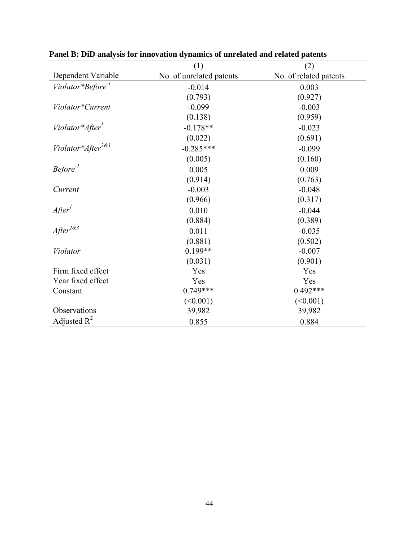|                                   | (1)                      | (2)                    |
|-----------------------------------|--------------------------|------------------------|
| Dependent Variable                | No. of unrelated patents | No. of related patents |
| Violator*Before <sup>-1</sup>     | $-0.014$                 | 0.003                  |
|                                   | (0.793)                  | (0.927)                |
| Violator*Current                  | $-0.099$                 | $-0.003$               |
|                                   | (0.138)                  | (0.959)                |
| Violator*After <sup>1</sup>       | $-0.178**$               | $-0.023$               |
|                                   | (0.022)                  | (0.691)                |
| Violator*After <sup>2&amp;3</sup> | $-0.285***$              | $-0.099$               |
|                                   | (0.005)                  | (0.160)                |
| Before <sup>-1</sup>              | 0.005                    | 0.009                  |
|                                   | (0.914)                  | (0.763)                |
| Current                           | $-0.003$                 | $-0.048$               |
|                                   | (0.966)                  | (0.317)                |
| After <sup>1</sup>                | 0.010                    | $-0.044$               |
|                                   | (0.884)                  | (0.389)                |
| $After^{2\&3}$                    | 0.011                    | $-0.035$               |
|                                   | (0.881)                  | (0.502)                |
| Violator                          | $0.199**$                | $-0.007$               |
|                                   | (0.031)                  | (0.901)                |
| Firm fixed effect                 | Yes                      | Yes                    |
| Year fixed effect                 | Yes                      | Yes                    |
| Constant                          | $0.749***$               | $0.492***$             |
|                                   | (<0.001)                 | (<0.001)               |
| Observations                      | 39,982                   | 39,982                 |
| Adjusted $R^2$                    | 0.855                    | 0.884                  |

**Panel B: DiD analysis for innovation dynamics of unrelated and related patents**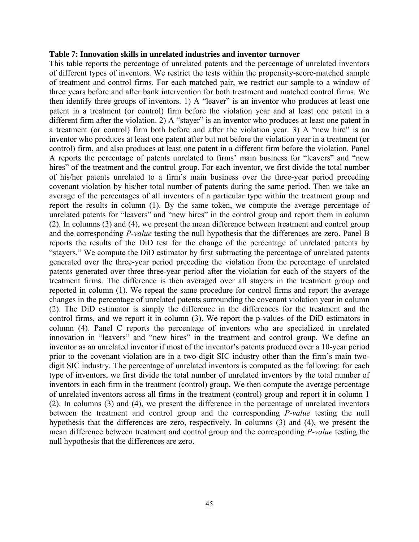#### **Table 7: Innovation skills in unrelated industries and inventor turnover**

This table reports the percentage of unrelated patents and the percentage of unrelated inventors of different types of inventors. We restrict the tests within the propensity-score-matched sample of treatment and control firms. For each matched pair, we restrict our sample to a window of three years before and after bank intervention for both treatment and matched control firms. We then identify three groups of inventors. 1) A "leaver" is an inventor who produces at least one patent in a treatment (or control) firm before the violation year and at least one patent in a different firm after the violation. 2) A "stayer" is an inventor who produces at least one patent in a treatment (or control) firm both before and after the violation year. 3) A "new hire" is an inventor who produces at least one patent after but not before the violation year in a treatment (or control) firm, and also produces at least one patent in a different firm before the violation. Panel A reports the percentage of patents unrelated to firms' main business for "leavers" and "new hires" of the treatment and the control group. For each inventor, we first divide the total number of his/her patents unrelated to a firm's main business over the three-year period preceding covenant violation by his/her total number of patents during the same period. Then we take an average of the percentages of all inventors of a particular type within the treatment group and report the results in column (1). By the same token, we compute the average percentage of unrelated patents for "leavers" and "new hires" in the control group and report them in column (2). In columns (3) and (4), we present the mean difference between treatment and control group and the corresponding *P-value* testing the null hypothesis that the differences are zero. Panel B reports the results of the DiD test for the change of the percentage of unrelated patents by "stayers." We compute the DiD estimator by first subtracting the percentage of unrelated patents generated over the three-year period preceding the violation from the percentage of unrelated patents generated over three three-year period after the violation for each of the stayers of the treatment firms. The difference is then averaged over all stayers in the treatment group and reported in column (1). We repeat the same procedure for control firms and report the average changes in the percentage of unrelated patents surrounding the covenant violation year in column (2). The DiD estimator is simply the difference in the differences for the treatment and the control firms, and we report it in column (3). We report the p-values of the DiD estimators in column (4). Panel C reports the percentage of inventors who are specialized in unrelated innovation in "leavers" and "new hires" in the treatment and control group. We define an inventor as an unrelated inventor if most of the inventor's patents produced over a 10-year period prior to the covenant violation are in a two-digit SIC industry other than the firm's main twodigit SIC industry. The percentage of unrelated inventors is computed as the following: for each type of inventors, we first divide the total number of unrelated inventors by the total number of inventors in each firm in the treatment (control) group**.** We then compute the average percentage of unrelated inventors across all firms in the treatment (control) group and report it in column 1 (2). In columns (3) and (4), we present the difference in the percentage of unrelated inventors between the treatment and control group and the corresponding *P-value* testing the null hypothesis that the differences are zero, respectively. In columns (3) and (4), we present the mean difference between treatment and control group and the corresponding *P-value* testing the null hypothesis that the differences are zero.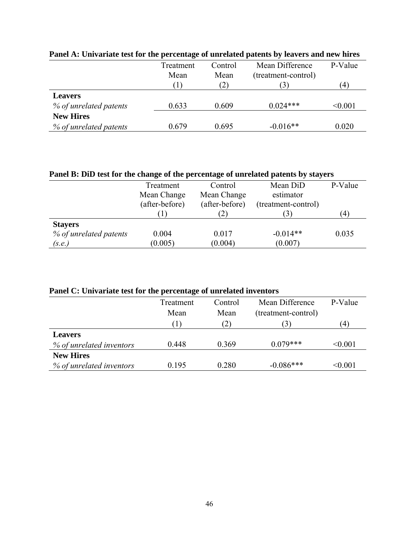|                        | Treatment | Control | Mean Difference     | P-Value          |
|------------------------|-----------|---------|---------------------|------------------|
|                        | Mean      | Mean    | (treatment-control) |                  |
|                        |           | (2)     |                     | $\left(4\right)$ |
| <b>Leavers</b>         |           |         |                     |                  |
| % of unrelated patents | 0.633     | 0.609   | $0.024***$          | < 0.001          |
| <b>New Hires</b>       |           |         |                     |                  |
| % of unrelated patents | 0.679     | 0.695   | $-0.016**$          | 0.020            |

# **Panel A: Univariate test for the percentage of unrelated patents by leavers and new hires**

| Panel B: DiD test for the change of the percentage of unrelated patents by stayers |                |                |                     |                  |
|------------------------------------------------------------------------------------|----------------|----------------|---------------------|------------------|
|                                                                                    | Treatment      | Control        | Mean DiD            | P-Value          |
|                                                                                    | Mean Change    | Mean Change    | estimator           |                  |
|                                                                                    | (after-before) | (after-before) | (treatment-control) |                  |
|                                                                                    |                |                |                     | $\left(4\right)$ |
| <b>Stayers</b>                                                                     |                |                |                     |                  |
| % of unrelated patents                                                             | 0.004          | 0.017          | $-0.014**$          | 0.035            |
| (s.e.)                                                                             | (0.005)        | (0.004)        | (0.007)             |                  |

### **Panel C: Univariate test for the percentage of unrelated inventors**

|                          | Treatment | Control           | Mean Difference     | P-Value |
|--------------------------|-----------|-------------------|---------------------|---------|
|                          | Mean      | Mean              | (treatment-control) |         |
|                          |           | $\left( 2\right)$ | $\beta$             | 4       |
| <b>Leavers</b>           |           |                   |                     |         |
| % of unrelated inventors | 0.448     | 0.369             | $0.079***$          | < 0.001 |
| <b>New Hires</b>         |           |                   |                     |         |
| % of unrelated inventors | 0.195     | 0.280             | $-0.086***$         | < 0.001 |